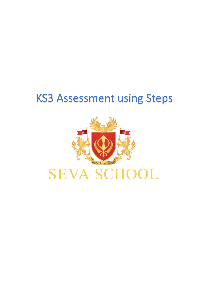## KS3 Assessment using Steps



# **SEVA SCHOOL**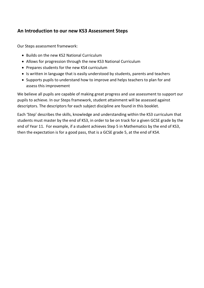## **An Introduction to our new KS3 Assessment Steps**

Our Steps assessment framework:

- Builds on the new KS2 National Curriculum
- Allows for progression through the new KS3 National Curriculum
- Prepares students for the new KS4 curriculum
- Is written in language that is easily understood by students, parents and teachers
- Supports pupils to understand how to improve and helps teachers to plan for and assess this improvement

We believe all pupils are capable of making great progress and use assessment to support our pupils to achieve. In our Steps framework, student attainment will be assessed against descriptors. The descriptors for each subject discipline are found in this booklet.

Each 'Step' describes the skills, knowledge and understanding within the KS3 curriculum that students must master by the end of KS3, in order to be on track for a given GCSE grade by the end of Year 11. For example, if a student achieves Step 5 in Mathematics by the end of KS3, then the expectation is for a good pass, that is a GCSE grade 5, at the end of KS4.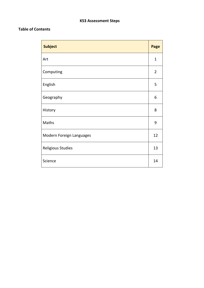## **KS3 Assessment Steps**

## **Table of Contents**

| <b>Subject</b>           | Page           |
|--------------------------|----------------|
| Art                      | $\mathbf 1$    |
| Computing                | $\overline{2}$ |
| English                  | 5              |
| Geography                | 6              |
| History                  | 8              |
| Maths                    | 9              |
| Modern Foreign Languages | 12             |
| <b>Religious Studies</b> | 13             |
| Science                  | 14             |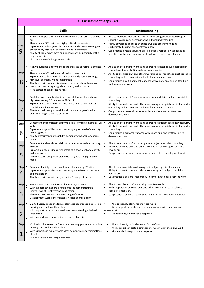|                  | <b>KS3 Assessment Steps - Art</b>                                                                                                                                                                                                                                                                                                                                                                                                                        |                                                                                                                                                                                                                                                                                                                                                                                                        |  |  |  |
|------------------|----------------------------------------------------------------------------------------------------------------------------------------------------------------------------------------------------------------------------------------------------------------------------------------------------------------------------------------------------------------------------------------------------------------------------------------------------------|--------------------------------------------------------------------------------------------------------------------------------------------------------------------------------------------------------------------------------------------------------------------------------------------------------------------------------------------------------------------------------------------------------|--|--|--|
|                  | <b>Skills</b>                                                                                                                                                                                                                                                                                                                                                                                                                                            | Understanding                                                                                                                                                                                                                                                                                                                                                                                          |  |  |  |
| Step<br>9        | Highly developed ability to independently use all formal elements<br>П<br>eg:<br>2D (and some 3D*) skills are highly refined and consistent<br>$\Box$<br>Explores a broad range of ideas independently demonstrating an<br>exceptionally high level of creativity and imagination<br>П<br>Able to skilfully experiment and discriminate purposefully with a<br>range of media<br>$\Box$<br>Clear evidence of taking creative risks                       | Able to independently analyse artists' work using sophisticated subject<br>specialist vocabulary, demonstrating cultural understanding<br>Highly developed ability to evaluate own and others work using<br>sophisticated subject specialist vocabulary<br>Can produce a meaningful and skilful personal response when realising<br>intentions with clear visual and written links to development work |  |  |  |
| Step<br>8        | Highly developed ability to independently use all formal elements<br>$\Box$<br>eg:<br>2D (and some 3D*) skills are refined and consistent<br>$\Box$<br>Explores a broad range of ideas independently demonstrating a<br>high level of creativity and imagination<br>$\Box$<br>Able to experiment and discriminate purposefully with a range of<br>media demonstrating a high-level quality and accuracy<br>$\Box$<br>Have started to take creative risks | Able to analyse artists' work using appropriate detailed subject specialist<br>vocabulary, demonstrating cultural understanding<br>Ability to evaluate own and others work using appropriate subject specialist<br>$\bullet$<br>vocabulary and is communicated with fluency and accuracy<br>Can produce a skilful personal response with clear visual and written links<br>to development work         |  |  |  |
| Step             | Confident and consistent ability to use all formal elements to a<br>$\Box$<br>high standard eg: 2D (and some 3D*) skills<br>Explores a broad range of ideas demonstrating a high level of<br>$\Box$<br>creativity and imagination<br>Able to experiment purposefully with a wide range of media<br>П<br>demonstrating quality and accuracy                                                                                                               | Able to analyse artists' work using appropriate detailed subject specialist<br>vocabulary<br>Ability to evaluate own and others work using appropriate subject specialist<br>$\bullet$<br>vocabulary and is communicated with fluency and accuracy<br>Can produce a personal response with clear visual and written links to<br>$\bullet$<br>development work                                          |  |  |  |
| Step<br>6        | Competent and consistent ability to use all formal elements eg: 2D<br>$\Box$<br>skills<br>Explores a range of ideas demonstrating a good level of creativity<br>п<br>and imagination<br>Able to experiment purposefully, demonstrating accuracy across<br>П.<br>media                                                                                                                                                                                    | Able to analyse artists' work using appropriate subject specialist vocabulary<br>Ability to evaluate own and others work using appropriate subject specialist<br>vocabulary<br>Can produce a personal response with clear visual and written links to<br>development work                                                                                                                              |  |  |  |
| Step<br>5        | Competent and consistent ability to use most formal elements eg:<br>2D skills<br>Explores a range of ideas demonstrating a good level of creativity<br>П<br>and imagination<br>Able to experiment purposefully with an (increasing*) range of<br>П<br>media                                                                                                                                                                                              | Able to analyse artists' work using some subject specialist vocabulary<br>Ability to evaluate own and others work using some subject specialist<br>vocabulary<br>Can produce a personal response with clear links to development work<br>$\bullet$                                                                                                                                                     |  |  |  |
| Step<br>4        | Competent ability to use most formal elements eg: 2D skills<br>$\Box$<br>Explores a range of ideas demonstrating some level of creativity<br>П<br>and imagination<br>Able to experiment with an (increasing *) range of media                                                                                                                                                                                                                            | Able to explain artists' work using basic subject specialist vocabulary<br>$\bullet$<br>Ability to evaluate own and others work using basic subject specialist<br>vocabulary<br>Can produce a personal response with some links to development work                                                                                                                                                    |  |  |  |
| Step<br>3        | Some ability to use the formal elements eg: 2D skills<br>$\Box$<br>With support can explore a range of ideas demonstrating a<br>П<br>limited level of creativity and imagination<br>Able to experiment with a limited range of media<br>$\Box$<br>Development work is inconsistent in ideas and/or quality<br>П                                                                                                                                          | Able to describe artists' work using basic key words<br>$\bullet$<br>With support can evaluate own and others work using basic subject<br>specialist vocabulary<br>Can produce a personal response with limited links to development work<br>$\bullet$                                                                                                                                                 |  |  |  |
| Step<br><u>2</u> | Limited ability to use the formal elements eg: produce a basic line<br>$\Box$<br>drawing and use basic flat colour<br>With support can explore some ideas demonstrating a limited<br>П<br>level of skill<br>With support, able to use a limited range of media<br>п                                                                                                                                                                                      | Able to identify elements of artists' work<br>$\bullet$<br>With support can state a strength and weakness in their own and<br>$\bullet$<br>others work<br>Limited ability to produce a response                                                                                                                                                                                                        |  |  |  |
| <b>Step</b><br>1 | Minimal ability to use the formal elements eg: produce a basic line<br>$\Box$<br>drawing and use basic flat colour<br>With support can explore some ideas demonstrating a minimal level<br>□<br>of skill<br>Able to use a minimal range of media<br>Π.                                                                                                                                                                                                   | Able to identify basic elements of artists' work<br>$\bullet$<br>With support can state a strength and weakness in their own work<br>Minimal ability to produce a response                                                                                                                                                                                                                             |  |  |  |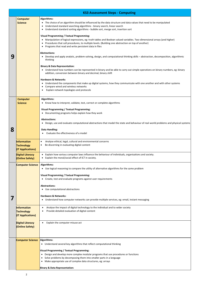|   |                                                                                                   | <b>KS3 Assessment Steps - Computing</b>                                                                                                                                                                                                                                                                                                                                                                                                                                                                                                                                                                                                                                                                                                                                                                                                                                                                                                                                                                                                                                                                                                                                                                                                                                                                                            |
|---|---------------------------------------------------------------------------------------------------|------------------------------------------------------------------------------------------------------------------------------------------------------------------------------------------------------------------------------------------------------------------------------------------------------------------------------------------------------------------------------------------------------------------------------------------------------------------------------------------------------------------------------------------------------------------------------------------------------------------------------------------------------------------------------------------------------------------------------------------------------------------------------------------------------------------------------------------------------------------------------------------------------------------------------------------------------------------------------------------------------------------------------------------------------------------------------------------------------------------------------------------------------------------------------------------------------------------------------------------------------------------------------------------------------------------------------------|
| 9 | <b>Computer</b><br><b>Science</b>                                                                 | Algorithms:<br>• The choice of an algorithm should be influenced by the data structure and data values that need to be manipulated<br>• Understand standard searching algorithms - binary search, linear search<br>• Understand standard sorting algorithms - bubble sort, merge sort, insertion sort<br><b>Visual Programming / Textual Programming:</b><br>• Manipulation of logical expressions, eg: truth tables and Boolean valued variables. Two-dimensional arrays (and higher)<br>• Procedures that call procedures, to multiple levels. (Building one abstraction on top of another)<br>• Programs that read and write persistent data in files<br><b>Abstractions:</b><br>• Develop and apply analytic, problem-solving, design, and computational thinking skills – abstraction, decomposition, algorithmic<br>thinking<br><b>Binary &amp; Data Representation:</b><br>• Understand how numbers can be represented in binary and be able to carry out simple operations on binary numbers, eg: binary<br>addition, conversion between binary and decimal, binary shift<br><b>Hardware &amp; Networks</b><br>• Understand the components that make up digital systems, how they communicate with one another and with other systems<br>• Compare wired and wireless networks<br>Explain network topologies and protocols |
| 8 | <b>Computer</b><br><b>Science</b><br><b>Information</b><br><b>Technology</b><br>(IT Applications) | Algorithms:<br>• Know how to interpret, validate, test, correct or complete algorithms<br><b>Visual Programming / Textual Programming:</b><br>• Documenting programs helps explain how they work<br><b>Abstractions:</b><br>• Design, use and evaluate computational abstractions that model the state and behaviour of real-world problems and physical systems<br><b>Data Handling:</b><br>Evaluate the effectiveness of a model<br>Analyse ethical, legal, cultural and environmental concerns<br>$\bullet$<br>Be discerning in evaluating digital content<br>$\bullet$                                                                                                                                                                                                                                                                                                                                                                                                                                                                                                                                                                                                                                                                                                                                                         |
|   | <b>Digital Literacy</b><br>(Online Safety)                                                        | • Explain how various computer laws influence the behaviour of individuals, organisations and society.<br>Explain the moral/social effect of ICT in society.                                                                                                                                                                                                                                                                                                                                                                                                                                                                                                                                                                                                                                                                                                                                                                                                                                                                                                                                                                                                                                                                                                                                                                       |
|   | <b>Computer Science</b>                                                                           | <b>Algorithms:</b><br>• Use logical reasoning to compare the utility of alternative algorithms for the same problem<br><b>Visual Programming / Textual Programming:</b><br>• Create, test and evaluate programs against user requirements<br><b>Abstractions:</b><br>• Use computational abstractions<br><b>Hardware &amp; Networks:</b><br>• Understand how computer networks can provide multiple services, eg: email, instant messaging                                                                                                                                                                                                                                                                                                                                                                                                                                                                                                                                                                                                                                                                                                                                                                                                                                                                                         |
|   | Information<br><b>Technology</b><br>(IT Applications)                                             | Analyse the impact of digital technology to the individual and to wider society<br>Provide detailed evaluation of digital content                                                                                                                                                                                                                                                                                                                                                                                                                                                                                                                                                                                                                                                                                                                                                                                                                                                                                                                                                                                                                                                                                                                                                                                                  |

| <b>Digital Literacy</b> | Explain the computer misuse act                                                    |
|-------------------------|------------------------------------------------------------------------------------|
| <b>(Online Safety)</b>  |                                                                                    |
|                         |                                                                                    |
|                         |                                                                                    |
|                         |                                                                                    |
| <b>Computer Science</b> | Algorithms:                                                                        |
|                         | Understand several key algorithms that reflect computational thinking<br>$\bullet$ |
|                         |                                                                                    |
|                         | Visual Programming / Textual Programming:                                          |
|                         | Design and develop more complex modular programs that use procedures or functions  |
|                         | Solve problems by decomposing them into smaller parts in a language                |
|                         | Make appropriate use of complex data structures, eg: arrays                        |
|                         |                                                                                    |
|                         | <b>Binary &amp; Data Representation:</b>                                           |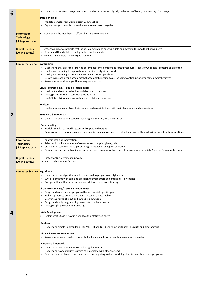|                                                                                                               |                                     | • Understand how text, images and sound can be represented digitally in the form of binary numbers, eg: 2 bit image             |  |  |
|---------------------------------------------------------------------------------------------------------------|-------------------------------------|---------------------------------------------------------------------------------------------------------------------------------|--|--|
| 6                                                                                                             |                                     |                                                                                                                                 |  |  |
|                                                                                                               |                                     | Data Handling:                                                                                                                  |  |  |
|                                                                                                               |                                     | • Model a complex real-world system with feedback                                                                               |  |  |
|                                                                                                               |                                     | Explain how protocols & connection components work together<br>$\bullet$                                                        |  |  |
|                                                                                                               |                                     |                                                                                                                                 |  |  |
|                                                                                                               |                                     |                                                                                                                                 |  |  |
|                                                                                                               | Information                         | Can explain the moral/social effect of ICT in the community<br>$\bullet$                                                        |  |  |
|                                                                                                               | <b>Technology</b>                   |                                                                                                                                 |  |  |
| (IT Applications)                                                                                             |                                     |                                                                                                                                 |  |  |
|                                                                                                               |                                     |                                                                                                                                 |  |  |
| • Undertake creative projects that include collecting and analysing data and meeting the needs of known users |                                     |                                                                                                                                 |  |  |
|                                                                                                               | <b>Digital Literacy</b>             |                                                                                                                                 |  |  |
|                                                                                                               | (Online Safety)                     | • Understand that digital technology affects wider society                                                                      |  |  |
|                                                                                                               |                                     | • Provide simple evaluation of digital content                                                                                  |  |  |
|                                                                                                               |                                     |                                                                                                                                 |  |  |
|                                                                                                               | <b>Computer Science</b>             | Algorithms:                                                                                                                     |  |  |
|                                                                                                               |                                     | • Understand that algorithms may be decomposed into component parts (procedures), each of which itself contains an algorithm    |  |  |
|                                                                                                               |                                     | • Use logical reasoning to explain how some simple algorithms work                                                              |  |  |
|                                                                                                               |                                     | • Use logical reasoning to detect and correct errors in algorithms                                                              |  |  |
|                                                                                                               |                                     |                                                                                                                                 |  |  |
|                                                                                                               |                                     | Design, write and debug programs that accomplish specific goals, including controlling or simulating physical systems           |  |  |
|                                                                                                               |                                     | • Know how to produce algorithms using pseudocode                                                                               |  |  |
|                                                                                                               |                                     |                                                                                                                                 |  |  |
|                                                                                                               |                                     | <b>Visual Programming / Textual Programming:</b>                                                                                |  |  |
|                                                                                                               |                                     | • Use input and output, selection, variables and data types                                                                     |  |  |
|                                                                                                               |                                     | • Debug programs that accomplish specific goals                                                                                 |  |  |
|                                                                                                               |                                     | • Use SQL to retrieve data from a table in a relational database                                                                |  |  |
|                                                                                                               |                                     |                                                                                                                                 |  |  |
|                                                                                                               |                                     | <b>Boolean:</b>                                                                                                                 |  |  |
|                                                                                                               |                                     | • Use logic gates to construct logic circuits, and associate these with logical operators and expressions                       |  |  |
|                                                                                                               |                                     |                                                                                                                                 |  |  |
| 5                                                                                                             |                                     | Hardware & Networks:                                                                                                            |  |  |
|                                                                                                               |                                     | • Understand computer networks including the Internet, ie: data transfer                                                        |  |  |
|                                                                                                               |                                     |                                                                                                                                 |  |  |
|                                                                                                               |                                     | <b>Data Handling:</b>                                                                                                           |  |  |
|                                                                                                               |                                     | • Model a simple real-world system with inputs and outputs                                                                      |  |  |
|                                                                                                               |                                     | • Compare wired to wireless connections and list examples of specific technologies currently used to implement both connections |  |  |
|                                                                                                               |                                     |                                                                                                                                 |  |  |
|                                                                                                               |                                     |                                                                                                                                 |  |  |
|                                                                                                               | Information                         | • Analyse data and information                                                                                                  |  |  |
|                                                                                                               | <b>Technology</b>                   | Select and combine a variety of software to accomplish given goals<br>$\bullet$                                                 |  |  |
|                                                                                                               | (IT Applications)                   | • Create, re-use, revise and re-purpose digital artefacts for a given audience                                                  |  |  |
|                                                                                                               |                                     | • Demonstrate an understanding of licensing issues involving online content by applying appropriate Creative Commons licences   |  |  |
|                                                                                                               |                                     |                                                                                                                                 |  |  |
|                                                                                                               | <b>Digital Literacy</b>             | • Protect online identity and privacy                                                                                           |  |  |
|                                                                                                               | (Online Safety)                     | Use search technologies effectively                                                                                             |  |  |
|                                                                                                               |                                     |                                                                                                                                 |  |  |
|                                                                                                               |                                     |                                                                                                                                 |  |  |
|                                                                                                               | <b>Computer Science Algorithms:</b> |                                                                                                                                 |  |  |
|                                                                                                               |                                     | • Understand that algorithms are implemented as programs on digital devices                                                     |  |  |
|                                                                                                               |                                     | • Write algorithms with care and precision to avoid errors and ambiguity (flowcharts)                                           |  |  |
|                                                                                                               |                                     |                                                                                                                                 |  |  |
|                                                                                                               |                                     | • Recognise that different processes have different levels of efficiency                                                        |  |  |
|                                                                                                               |                                     |                                                                                                                                 |  |  |
|                                                                                                               |                                     | <b>Visual Programming / Textual Programming:</b>                                                                                |  |  |
|                                                                                                               |                                     | • Design and create simple programs that accomplish specific goals                                                              |  |  |
|                                                                                                               |                                     | Make appropriate use of basic data structures, eg: lists, tables<br>$\bullet$                                                   |  |  |
|                                                                                                               |                                     | • Use various forms of input and output in a language                                                                           |  |  |
|                                                                                                               |                                     | Design and apply programming constructs to solve a problem<br>$\bullet$                                                         |  |  |
|                                                                                                               |                                     | • Debug simple programs in a language                                                                                           |  |  |
|                                                                                                               |                                     |                                                                                                                                 |  |  |
| 4                                                                                                             |                                     | <b>Web Development</b>                                                                                                          |  |  |
|                                                                                                               |                                     | Explain what CSS is & how it is used to style static web pages                                                                  |  |  |

#### **Boolean:**

• Understand simple Boolean logic (eg: AND, OR and NOT) and some of its uses in circuits and programming

#### **Binary & Data Representation:**

• Know how numbers can be represented in binary and how this applies to computer circuitry

#### **Hardware & Networks:**

- Understand computer networks including the Internet
- Understand how computer systems communicate with other systems
- Describe how hardware components used in computing systems work together in order to execute programs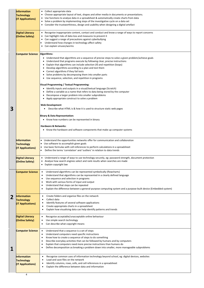|   | <b>Information</b><br><b>Technology</b><br>(IT Applications) | • Collect appropriate data<br>• Choose appropriate layout of text, shapes and other media in documents or presentations.<br>• Use functions to analyse data in a spreadsheet & automatically create charts from data<br>• Solve a problem by implementing steps of the investigative cycle on a data set<br>• Consider the trustworthiness, design and usability when designing a digital artefact                                                                                                                                                                                                                                                                                                                                                                                                                                                                                                                                                                                                                                                                                                                               |
|---|--------------------------------------------------------------|----------------------------------------------------------------------------------------------------------------------------------------------------------------------------------------------------------------------------------------------------------------------------------------------------------------------------------------------------------------------------------------------------------------------------------------------------------------------------------------------------------------------------------------------------------------------------------------------------------------------------------------------------------------------------------------------------------------------------------------------------------------------------------------------------------------------------------------------------------------------------------------------------------------------------------------------------------------------------------------------------------------------------------------------------------------------------------------------------------------------------------|
|   | <b>Digital Literacy</b><br>(Online Safety)                   | • Recognise inappropriate content, contact and conduct and know a range of ways to report concerns<br>Can highlight risks of data loss and measures to prevent it<br>Can suggest a range of precautions against cyberbullying<br>Understand how changes in technology affect safety<br>٠<br>Can explain viruses/worms                                                                                                                                                                                                                                                                                                                                                                                                                                                                                                                                                                                                                                                                                                                                                                                                            |
| 3 | <b>Computer Science Algorithms:</b>                          | Understand that algorithms are a sequence of precise steps to solve a given problem/achieve goals<br>$\bullet$<br>Understand that programs execute by following clear, precise instructions<br>Explain that algorithms can include selection (if) and repetition (loops)<br>Develop algorithms according to a plan and test them<br>Correct algorithms if they fail tests<br>Solve problems by decomposing them into smaller parts<br>Use sequence, selection, and repetition in programs<br><b>Visual Programming / Textual Programming:</b><br>Identify inputs and outputs in a visual/textual language (Scratch)<br>Define a variable as a name that refers to data being stored by the computer<br>Decompose a larger problem into smaller subproblems<br>Apply appropriate construct to solve a problem<br><b>Web Development</b><br>Describe what HTML is & how it is used to structure static web pages<br><b>Binary &amp; Data Representation:</b><br>• Know how numbers can be represented in binary<br><b>Hardware &amp; Networks:</b><br>Know the hardware and software components that make up computer systems<br>٠ |
|   | <b>Information</b><br><b>Technology</b><br>(IT Applications) | Understand the opportunities networks offer for communication and collaboration<br>$\bullet$<br>Use software to accomplish given goals<br>Use basic formulas with cell references to perform calculations in a spreadsheet<br>$\bullet$<br>Define the terms 'correlation' and 'outliers' in relation to data trends<br>$\bullet$                                                                                                                                                                                                                                                                                                                                                                                                                                                                                                                                                                                                                                                                                                                                                                                                 |
|   | <b>Digital Literacy</b><br>(Online Safety)                   | Understand a range of ways to use technology securely, eg: password strength, document protection<br>$\bullet$<br>• Analyse how search engines select and rank results when searches are made<br>• Explain copyright law                                                                                                                                                                                                                                                                                                                                                                                                                                                                                                                                                                                                                                                                                                                                                                                                                                                                                                         |
|   | <b>Computer Science</b>                                      | Understand algorithms can be represented symbolically (flowcharts)<br>Understand that algorithms can be represented in a clearly defined language<br>٠<br>Use sequence and selection in programs<br>Work with various forms of input and output<br>Understand that steps can be repeated<br>Explain the difference between a general-purpose computing system and a purpose-built device (Embedded system)                                                                                                                                                                                                                                                                                                                                                                                                                                                                                                                                                                                                                                                                                                                       |
| 2 | Information<br><b>Technology</b><br>(IT Applications)        | Create folders and organise files on the network<br>$\bullet$<br>Collect data<br>Identify features of several software applications<br>Create appropriate charts in a spreadsheet<br>٠<br>Explain how visualising data can help identify patterns and trends<br>٠                                                                                                                                                                                                                                                                                                                                                                                                                                                                                                                                                                                                                                                                                                                                                                                                                                                                |
|   | <b>Digital Literacy</b>                                      | Recognise acceptable/unacceptable online behaviour                                                                                                                                                                                                                                                                                                                                                                                                                                                                                                                                                                                                                                                                                                                                                                                                                                                                                                                                                                                                                                                                               |

| <b>(Online Safety)</b>                                              | Use simple search technology<br>$\bullet$<br>Can describe what copyright means<br>٠                                                                                                                                                                                                                                                                                                                                              |
|---------------------------------------------------------------------|----------------------------------------------------------------------------------------------------------------------------------------------------------------------------------------------------------------------------------------------------------------------------------------------------------------------------------------------------------------------------------------------------------------------------------|
| <b>Computer Science</b>                                             | Understand that a sequence is a set of steps<br>Understand computers need specific instructions<br>$\bullet$<br>Know how to create a sequence of steps to do something<br>Describe everyday activities that can be followed by humans and by computers<br>٠<br>Explain that computers need more precise instructions than humans do<br>Define decomposition as breaking a problem down into smaller, more manageable subproblems |
| <b>Information</b><br><b>Technology</b><br><b>(IT Applications)</b> | Recognise common uses of information technology beyond school, eg: digital devices, websites<br>Load and save files on the network<br>Identify columns, rows, cells, and cell references in a spreadsheet<br>Explain the difference between data and information                                                                                                                                                                 |
| 4                                                                   |                                                                                                                                                                                                                                                                                                                                                                                                                                  |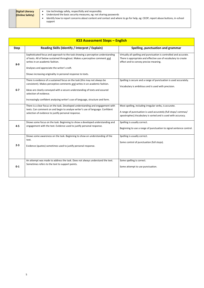| Use technology safely, respectfully and responsibly<br><b>Digital Literacy</b><br><b>(Online Safety)</b><br>support | Understand the basic security measures, eg: not sharing passwords<br>Identify how to report concerns about content and contact and where to go for help, eg: CEOP, report abuse buttons, in-school |
|---------------------------------------------------------------------------------------------------------------------|----------------------------------------------------------------------------------------------------------------------------------------------------------------------------------------------------|
|---------------------------------------------------------------------------------------------------------------------|----------------------------------------------------------------------------------------------------------------------------------------------------------------------------------------------------|

| <b>KS3 Assessment Steps - English</b> |                                                                                                                                                                                                                                                                                                                                                    |                                                                                                                                                                                          |  |
|---------------------------------------|----------------------------------------------------------------------------------------------------------------------------------------------------------------------------------------------------------------------------------------------------------------------------------------------------------------------------------------------------|------------------------------------------------------------------------------------------------------------------------------------------------------------------------------------------|--|
| <b>Step</b>                           | Reading Skills (Identify / Interpret / Explain)                                                                                                                                                                                                                                                                                                    | Spelling, punctuation and grammar                                                                                                                                                        |  |
| $8-9$                                 | Sophisticated focus and approach to the task showing a perceptive understanding<br>of texts. All of below sustained throughout. Makes a perceptive comment and<br>writes in an academic fashion.<br>Analyses and appreciate the writer's craft.<br>Shows increasing originality in personal response to texts.                                     | Virtually all spelling and punctuation is controlled and accurate.<br>There is appropriate and effective use of vocabulary to create<br>effect and to convey precise meaning.            |  |
| $6-7$                                 | There is evidence of a sustained focus on the task (this may not always be<br>consistent). Makes perceptive comments and writes in an academic fashion.<br>Ideas are clearly conveyed with a secure understanding of texts and assured<br>selection of evidence.<br>Increasingly confident analysing writer's use of language, structure and form. | Spelling is secure and a range of punctuation is used accurately.<br>Vocabulary is ambitious and is used with precision.                                                                 |  |
|                                       | There is a clear focus on the task. Developed understanding and engagement with<br>texts. Can comment on and begin to analyse writer's use of language. Confident<br>selection of evidence to justify personal response.                                                                                                                           | Most spelling, including irregular verbs, is accurate.<br>A range of punctuation is used accurately (full stops/commas/<br>apostrophes). Vocabulary is varied and is used with accuracy. |  |
| $4 - 5$                               | Shows some focus on the task. Beginning to show a developed understanding and<br>engagement with the text. Evidence used to justify personal response.                                                                                                                                                                                             | Spelling is usually correct.<br>Beginning to use a range of punctuation to signal sentence control.                                                                                      |  |
| $2 - 3$                               | Shows some awareness on the task. Beginning to show an understanding of the<br>text.<br>Evidence (quotes) sometimes used to justify personal response.                                                                                                                                                                                             | Spelling is usually correct.<br>Some control of punctuation (full stops).                                                                                                                |  |
| $0-1$                                 | An attempt was made to address the task. Does not always understand the text.<br>Sometimes refers to the text to support points.                                                                                                                                                                                                                   | Some spelling is correct.<br>Some attempt to use punctuation.                                                                                                                            |  |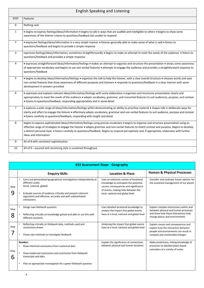|           | <b>KS3 Assessment Steps - Geography</b> |                                                                                                                                                                                                                                                                 |                                                                                                                                                                                                      |                                                                                                                                                           |  |
|-----------|-----------------------------------------|-----------------------------------------------------------------------------------------------------------------------------------------------------------------------------------------------------------------------------------------------------------------|------------------------------------------------------------------------------------------------------------------------------------------------------------------------------------------------------|-----------------------------------------------------------------------------------------------------------------------------------------------------------|--|
|           |                                         | <b>Enquiry Skills</b>                                                                                                                                                                                                                                           | <b>Location &amp; Place</b>                                                                                                                                                                          | <b>Human &amp; Physical Processes</b>                                                                                                                     |  |
| Step<br>9 | $\bullet$                               | Carry out personalised geographical investigations independently at<br>different scales<br>(local, national, global)<br>Evaluate sources of evidence critically and present coherent<br>arguments and effective, accurate and well-substantiated<br>conclusions | Uses an extensive variety of locational<br>knowledge to anticipate the potential<br>causes, consequences and significance<br>of events, making links between the<br>local, national and global level | Consider and evaluate future options for<br>the sustained management of our planet                                                                        |  |
| Step<br>8 |                                         | Design own fieldwork question<br>Reflecting critically on knowledge gained and able to use this with<br>different locations                                                                                                                                     | Uses detailed locational knowledge to<br>analyse the impact that global events<br>have at a local, national and global level                                                                         | Explain complex interactions within and<br>between physical and human processes<br>and show how these interactions help<br>change places and environments |  |
| Step      |                                         | Reflecting critically on fieldwork data, methods used and<br>conclusions drawn<br>Chose own methods to investigate fieldwork                                                                                                                                    | Analysing the impact that global events<br>have at a local, national and global level                                                                                                                | Explain causes and consequences and<br>explain how the interaction between<br>people and environments can result in<br>complex and unintended changes     |  |
| Step<br>6 |                                         | Number:<br>Draw informed conclusions from numerical data<br>Draw evidenced conclusions and summaries from fieldwork<br>transcripts and data<br>Plan an appropriate investigation for a given fieldwork question                                                 | Explain the significance of connections<br>between physical and human locations                                                                                                                      | Make predictions, linking knowledge of<br>processes to detailed place-based<br>exemplars at a variety of scales                                           |  |

| <b>English Speaking and Listening</b> |                                                                                                                                                                                                                                                                                                                                                                                                                                                                             |  |
|---------------------------------------|-----------------------------------------------------------------------------------------------------------------------------------------------------------------------------------------------------------------------------------------------------------------------------------------------------------------------------------------------------------------------------------------------------------------------------------------------------------------------------|--|
| <b>STEP</b>                           | Features                                                                                                                                                                                                                                                                                                                                                                                                                                                                    |  |
| $\mathbf 0$                           | Nothing said.                                                                                                                                                                                                                                                                                                                                                                                                                                                               |  |
| $\mathbf{1}$                          | • begins to express feelings/ideas/information • begins to talk in ways that are audible and intelligible to others • begins to show some<br>awareness of the listener Listens to questions/feedback but unable to respond                                                                                                                                                                                                                                                  |  |
| $\overline{2}$                        | • expresses feelings/ideas/information in a very simple manner • listener generally able to make sense of what is said • listens to<br>questions/feedback and begins to provide a simple response                                                                                                                                                                                                                                                                           |  |
| $\overline{3}$                        | expresses feelings/ideas/information, sometimes straightforwardly • begins to make an attempt to meet the needs of the audience. • listens to<br>questions/feedback and provides a simple response                                                                                                                                                                                                                                                                          |  |
| $\overline{4}$                        | • expresses straightforward ideas/information/feelings • makes an attempt to organise and structure the presentation • shows some awareness<br>of appropriate vocabulary and begins to use non-verbal features • attempts to engage the audience and provides a straightforward response to<br>questions/feedback                                                                                                                                                           |  |
| 5 <sup>5</sup>                        | • begins to develop ideas/information/feelings • organises the talk to help the listener, with a clear overall structure • chooses words and uses<br>non-verbal features that show awareness of different purposes and listeners • responds to questions/feedback in a clear manner with some<br>development in answers provided                                                                                                                                            |  |
| 6                                     | • expresses and explains relevant ideas/information/feelings with some elaboration • organises and structures presentation clearly and<br>appropriately to meet the needs of the audience · adapts vocabulary, grammar, and nonverbal features to suit audiences, purpose, and context<br>• listens to questions/feedback, responding appropriately and in some detail                                                                                                      |  |
| $\overline{7}$                        | • explores a wide range of ideas/information/feelings whilst demonstrating an ability to prioritise material • shapes talk in deliberate ways for<br>clarity and effect to engage the listener • effectively adapts vocabulary, grammar and non-verbal features to suit audience, purpose and context<br>• listens carefully to questions/feedback, responding with insight and detail                                                                                      |  |
| 8                                     | begins to express sophisticated ideas/information/feelings using precise vocabulary • begins to organise and structure presentation using an<br>effective range of strategies to engage the listener • adapts grammar and non-verbal features to match context and purpose. Begins to develop<br>a distinct personal style. • listens carefully to questions/feedback. Begins to respond perceptively and, if appropriate, elaborates with further<br>ideas and information |  |
| 9                                     | All of 8 with consistent sophistication                                                                                                                                                                                                                                                                                                                                                                                                                                     |  |
| 10                                    | All of 9 – assured and convincing style is sustained throughout.                                                                                                                                                                                                                                                                                                                                                                                                            |  |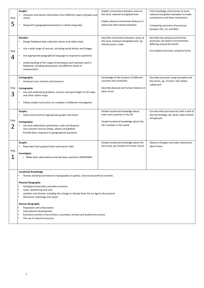| Step<br>5 | Graphs:<br>Interpret and extract information from different types of graphs and<br>charts<br>Respond to geographical questions in detail using data<br>$\bullet$                                                                                                                                                                                                                                                                                                                                                               | Explain connections between areas at<br>the local, national and global level<br>Explain physical and human features in<br>detail and with named examples | Link knowledge of processes to local,<br>national and global exemplars to make<br>comparisons and draw conclusions<br>Comparing outcomes of processes<br>between HIC, LIC and MICs |
|-----------|--------------------------------------------------------------------------------------------------------------------------------------------------------------------------------------------------------------------------------------------------------------------------------------------------------------------------------------------------------------------------------------------------------------------------------------------------------------------------------------------------------------------------------|----------------------------------------------------------------------------------------------------------------------------------------------------------|------------------------------------------------------------------------------------------------------------------------------------------------------------------------------------|
| Step<br>4 | Number:<br>Design fieldwork data collection sheets and collect data<br>Use a wide range of sources, including aerial photos and images<br>$\bullet$<br>Use appropriate geographical language to respond to questions<br>Understanding of the range of techniques and methods used in<br>$\bullet$<br>fieldwork, including observation and different kinds of<br>measurement                                                                                                                                                    | Describe connections between areas at<br>the local, national and global level, eg:<br>infrastructure, trade                                              | Describe how physical and human<br>processes can lead to environments<br>differing around the world<br>Can explain processes using key terms                                       |
| Step<br>3 | Cartography:<br>Interpret cross sections and transects<br>Cartography:<br>Use and understand gradient, contour and spot height on OS maps<br>and other isoline maps<br>Follow simple instructions to complete a fieldwork investigation                                                                                                                                                                                                                                                                                        | Knowledge of the location of different<br>counties and continents<br>Describe physical and human features in<br>basic terms                              | Describe processes using examples and<br>key terms, eg: 'erosion' and 'plates<br>subducted'                                                                                        |
| Step      | Graphs:<br>Select and construct appropriate graphs and charts<br>Cartography:<br>Use and understand coordinates, scale and distance<br>Use common sources (maps, atlases and globes)<br>Provide basic responses to geographical questions                                                                                                                                                                                                                                                                                      | Simple locational knowledge about<br>town and countries in the UK<br>Simple locational knowledge about the<br>UK's location in the world                 | Can describe processes but with a lack of<br>key terminology, eg: wears away instead<br>of hydraulic                                                                               |
| Step      | Graphs:<br>Read data from graphs/charts and extract data<br>Investigate:<br>Make basic observations and ask basic questions (WWWWH)<br>$\bullet$                                                                                                                                                                                                                                                                                                                                                                               | Simple locational knowledge about the<br>local area, eg: location of school, house                                                                       | Observe changes and make statements<br>about these                                                                                                                                 |
|           | <b>Locational Knowledge</b><br>Human and physical features of geography in spatial, cultural and political contexts<br><b>Physical Geography</b><br>Geological timescales and plate tectonics<br>rocks, weathering and soils<br>weather and climate, including the change in climate from the Ice Age to the present<br>Glaciation, hydrology and coasts<br><b>Human Geography</b><br>Population and urbanisation<br>International development<br>Economic activity in the primary, secondary, tertiary and quaternary sectors |                                                                                                                                                          |                                                                                                                                                                                    |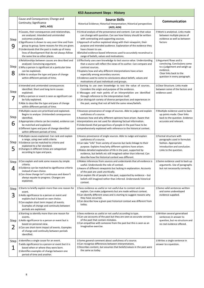|                  | <b>KS3 Assessment Steps - History</b>                                                                                                                                                                                                                                                                                                                                            |                                                                                                                                                                                                                                                                                                                                                                                                                                                                                              |                                                                                                                                                                |  |  |  |  |  |
|------------------|----------------------------------------------------------------------------------------------------------------------------------------------------------------------------------------------------------------------------------------------------------------------------------------------------------------------------------------------------------------------------------|----------------------------------------------------------------------------------------------------------------------------------------------------------------------------------------------------------------------------------------------------------------------------------------------------------------------------------------------------------------------------------------------------------------------------------------------------------------------------------------------|----------------------------------------------------------------------------------------------------------------------------------------------------------------|--|--|--|--|--|
|                  | Cause and Consequences; Change and<br>Continuity; Significance<br>(AO1, AO2)                                                                                                                                                                                                                                                                                                     | <b>Source Skills</b><br>Historical Evidence; Historical Interpretation; Historical perspectives<br>(AO3, AO4)                                                                                                                                                                                                                                                                                                                                                                                | <b>Communication</b>                                                                                                                                           |  |  |  |  |  |
| <b>Step</b><br>9 | <sup>2</sup> Causes, their consequences and relationships,<br>are analysed. Intended and unintended<br>outcomes analysed.<br><b>2</b> Significance is shown to vary over time and from<br>group to group. Some reasons for this are given.<br>7 Understands that the past is made up of many<br>lines of development that do not always follow<br>the same line as other places. | <b>D</b> Critical analysis of the provenance and content. Can see that value<br>can change with question. Can see how history should be written<br>with contrasting and supporting sources.<br><b>E</b> Approach of author explained along with their viewpoint, their<br>purpose and intended audience. Explanation of the evidence they<br>have chosen to use.<br><b>PDetailed evidence-based inferences used to accurately reconstruct a</b><br>range of beliefs, values and motivations. | 2 Work is analytical. Links made<br>between multiple pieces of<br>evidence as well as between<br>factors                                                       |  |  |  |  |  |
| Step<br>8        | <sup>2</sup> Relationships between causes are described and<br>analysed. Convincing argument.<br><b>D</b> Why a person is significant at a particular time<br>can be explained.<br>a Able to analyse the type and pace of change<br>within different periods of time.                                                                                                            | Z Effectively uses own knowledge to test source value. Understanding<br>that a source will reflect the views of its author. Can compare and<br>contrast sources.<br><b>I</b> Explains how and why different interpretations have arisen<br>especially among secondary sources.<br>2 Evidence used to come to conclusions about beliefs, values and<br>motivations of past individuals and groups.                                                                                            | 2 Argument flows and is<br>convincing. Conclusions come<br>to a judgement and weigh up<br>evidence.<br>Clear links back to the<br>question in every paragraph. |  |  |  |  |  |
| <b>Step</b>      | <b>2</b> Intended and unintended consequences<br>identified. Short and long-term causes<br>explained.<br>7 Why a person or event is seen as significant can<br>be fully explained.<br>2 Able to describe the type and pace of change<br>within different periods of time.                                                                                                        | I Starting to use own knowledge to test the value of sources.<br>Considers the origin and purpose of the evidence.<br><b>Z</b> Messages and main points of an interpretation are identified<br>through reference to the interpretation itself.<br><sup>2</sup> Can distinguish variety of diverse perspectives and experiences in<br>the past, seeing that not all held the same views/beliefs.                                                                                              | <b>D</b> Clear Structure. Links made<br>between some of the factors and<br>evidence used.                                                                      |  |  |  |  |  |
| Step<br>6        | 2 Multiple causes are prioritised and explained.<br>Begins to analyse. Unintended consequences<br>identified.<br>2 Appropriate criteria can be created, evidence can<br>be matched and explained.<br><sup>2</sup> Different types and pace of change identified<br>within different periods of time.                                                                             | a Assesses provenance of range of sources. Able to judge and explain<br>usefulness of a source.<br><b>Z</b> Assesses how and why different opinions have arisen. Aware that<br>interpretations are not used for obtaining factual information.<br>I Understands that perspectives of people in the past have to be<br>comprehensively explained with reference to the historical context.                                                                                                    | 2 Multiple evidence used to back<br>up points made. Clear links<br>back to the question. Evidence<br>accurate and relevant.                                    |  |  |  |  |  |
| Step<br>5        | 2 Multiple causes explained. Can rank and explain<br>a range, using own valid criteria.<br><b>Z</b> Evidence can be matched to criteria and<br>explained to a fair standard.<br><b>D</b> Changes in different times are categorised<br>according to type and pace.                                                                                                               | a Assess provenance of single sources. Able to Judge and explain<br>usefulness of a source.<br>I Can take "info" from variety of sources but lacks linkage to their<br>purpose. Explains how/why different opinions have arisen.<br><b>If Makes detailed explanation of life in the past, supported by</b><br>evidence, but beliefs etc still imagined rather than inferred. Can<br>describe how the historical context was different.                                                       | <b>D</b> Formal structure with<br>paragraphs used in formulaic<br>fashion. Appropriate<br>introduction and conclusion.<br>Links to the question.               |  |  |  |  |  |
| <b>Step</b><br>4 | 2 Can explain and rank some reasons by simple<br>criteria.<br><b>D</b> Evidence can be matched to significance criteria<br>instead of own choice.<br><sup>2</sup> Can show change isn't continuous and doesn't<br>always equate to progress. Changes are<br>explained.                                                                                                           | 2 Makes inferences from sources and understands that all evidence is<br>useful. Understands the role of context.<br>2 Aware of different viewpoints but lacking in explanation. Accounts<br>of the past are used uncritically.<br>$\mathbb D$ Can explain life of people in the past, supported by evidence – but<br>beliefs still imagined rather than inferred. Understands historical<br>context.                                                                                         | <sup>2</sup> Some evidence used to back up<br>arguments. Use of paragraphs<br>but not necessarily correctly.                                                   |  |  |  |  |  |
| Step<br>3        | I Starts to briefly explain more than one reason for<br>event.<br>2 Adds significance to a person or event and<br>explains but is based on own choice.<br>2 Can explain short term impact of events.<br>Examples of change and continuity between<br>periods are explained.                                                                                                      | 2 Sees evidence as useful or not useful due to content and can<br>explain. Can make judgements but are made without context.<br>I Can identify different views and is starting to suggest reasons why<br>they have occurred.<br><sup>2</sup> Can describe how a given past historical context was different from<br>today.                                                                                                                                                                   | <sup>2</sup> Some valid sentences written<br>and some undeveloped<br>evidence supplied.                                                                        |  |  |  |  |  |
| Step             | <b>2 Starting to identify more than one reason for</b><br>events.<br>2 Adds significance to a person or event but is<br>based on personal view.<br>2 Can see short-term impact of events. Examples<br>of change and continuity between periods<br>identified.                                                                                                                    | 2 Sees evidence as useful or not useful according to type.<br>I Can use accounts of the past but they are seen as accurate versions<br>of the past that contain mistakes.<br>I Can empathise with someone from the past but this is seen as an<br>imaginative exercise.                                                                                                                                                                                                                      | <sup>2</sup> Written several generalised<br>sentences in answer to<br>question, but no structure and<br>no real evidence offered.                              |  |  |  |  |  |
| Step<br>1        | I Identifies a single cause for an event.<br>adds significance to a person or event but it is<br>based when or where they were born.<br>2 Identifies examples of change between one<br>period of time and another.                                                                                                                                                               | <sup>2</sup> Some general comment about usefulness of a source.<br>2 Can recognise differences between interpretations.<br><b>Describes content, but assumes that beliefs/values in the past were</b><br>the same as today.                                                                                                                                                                                                                                                                  | 2 Writes a single sentence in<br>answer to a question.                                                                                                         |  |  |  |  |  |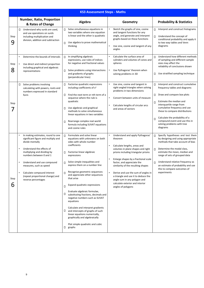|           | <b>KS3 Assessment Steps - Maths</b>                                                                                                                                                                                                                                                                                                    |                                                                                                                                                                                                                                                                                                                                                                                                                                                                                                                                                                                                                         |                                                                                                                                                                                                                                                                                                                                                                                                                                           |                                                                                                                                                                                                                                                                                                                                                                             |  |  |  |
|-----------|----------------------------------------------------------------------------------------------------------------------------------------------------------------------------------------------------------------------------------------------------------------------------------------------------------------------------------------|-------------------------------------------------------------------------------------------------------------------------------------------------------------------------------------------------------------------------------------------------------------------------------------------------------------------------------------------------------------------------------------------------------------------------------------------------------------------------------------------------------------------------------------------------------------------------------------------------------------------------|-------------------------------------------------------------------------------------------------------------------------------------------------------------------------------------------------------------------------------------------------------------------------------------------------------------------------------------------------------------------------------------------------------------------------------------------|-----------------------------------------------------------------------------------------------------------------------------------------------------------------------------------------------------------------------------------------------------------------------------------------------------------------------------------------------------------------------------|--|--|--|
|           | <b>Number, Ratio, Proportion</b><br>& Rates of Change                                                                                                                                                                                                                                                                                  | Algebra                                                                                                                                                                                                                                                                                                                                                                                                                                                                                                                                                                                                                 | <b>Geometry</b>                                                                                                                                                                                                                                                                                                                                                                                                                           | <b>Probability &amp; Statistics</b>                                                                                                                                                                                                                                                                                                                                         |  |  |  |
| Step<br>9 | Understand why surds are used,<br>and use operations on surds<br>including multiplication and<br>division, addition and subtraction                                                                                                                                                                                                    | Solve simultaneous equations in<br>$\Box$<br>two variables where one equation<br>is linear and the other is quadratic<br>Use algebra to prove mathematical<br>П<br>thinking                                                                                                                                                                                                                                                                                                                                                                                                                                             | Sketch the graphs of sine, cosine<br>and tangent functions for any<br>angle, and generate and interpret<br>graphs based on these functions<br>Use sine, cosine and tangent of any<br>angles                                                                                                                                                                                                                                               | Interpret and construct histograms<br>Understand the concept of<br>$\Box$<br>conditional probability and apply it<br>to two way tables and Venn<br>diagrams                                                                                                                                                                                                                 |  |  |  |
| Step<br>8 | Determine the bounds of intervals<br>Use direct and indirect proportion<br>including graphical and algebraic<br>representations                                                                                                                                                                                                        | In simplifying algebraic<br>$\Box$<br>expressions, use rules of indices<br>for negative and fractional values<br>Solve problems using intersections<br>П<br>and gradients of graphs<br>(perpendicular lines)                                                                                                                                                                                                                                                                                                                                                                                                            | Calculate the surface area of<br>cylinders and volumes of cones and<br>spheres<br>Use Pythagoras' theorem when<br>solving problems in 3D                                                                                                                                                                                                                                                                                                  | Understand how different methods<br>$\Box$<br>of sampling and different sample<br>sizes may affect the<br>reliability of conclusions drawn<br>Use stratified sampling technique<br>О                                                                                                                                                                                        |  |  |  |
| Step      | Π<br>Solve problems involving<br>calculating with powers, roots and<br>numbers expressed in standard<br>form                                                                                                                                                                                                                           | Factorise quadratic expressions<br>$\Box$<br>including coefficients of x <sup>2</sup><br>Find the next term or nth term of a<br>П.<br>sequence where the rule is<br>quadratic<br>Use algebraic and graphical<br>П<br>methods to solve simultaneous<br>linear equations in two variables<br>Rearrange complex real-world<br>п<br>formula including SUVAT equations<br>and cosine rules                                                                                                                                                                                                                                   | Use sine, cosine and tangent in<br>right-angled triangles when solving<br>problems in two dimensions<br>Convert between units of measure<br>Calculate lengths of circular arcs<br>and areas of sectors                                                                                                                                                                                                                                    | Interpret and construct cumulative<br>$\Box$<br>frequency tables and diagrams<br>Draw and compare box plots<br>$\Box$<br>Estimate the median and<br>$\Box$<br>interquartile range from<br>cumulative frequency and use<br>these to compare distributions<br>Calculate the probability of a<br>П<br>compound event and use this in<br>solving problems with tree<br>diagrams |  |  |  |
| Step<br>6 | In making estimates, round to one<br>significant figure and multiply and<br>divide mentally<br>Understand the effects of<br>multiplying and dividing by<br>numbers between 0 and 1<br>Understand and use compound<br>measures, such as speed<br>Calculate compound interest<br>(repeat proportional change) and<br>reverse percentages | Formulate and solve linear<br>П.<br>equations with unknowns on both<br>sides with whole-number<br>coefficients<br>Factorise linear algebraic<br>П<br>expressions<br>Solve simple inequalities and<br>$\Box$<br>express them on a number line<br>Recognise geometric sequences<br>П<br>and appreciate other sequences<br>that arise<br>Expand quadratic expressions<br>$\Box$<br>Evaluate algebraic formulae,<br>⊔<br>substituting fractions, decimals and<br>negative numbers such as SUVAT<br>equations<br>Calculate and interpret gradients<br>Ц<br>and intercepts of graphs of such<br>linear equations numerically, | Understand and apply Pythagoras'<br>theorem<br>Calculate lengths, areas and<br>volumes in plane shapes and right<br>prisms including triangular prisms<br>Enlarge shapes by a fractional scale<br>factor, and appreciate the<br>similarity of the resulting shapes<br>Derive and use the sum of angles in<br>a triangle and use it to deduce the<br>angle sum in any polygon and<br>calculate exterior and interior<br>angles of polygons | Specify hypotheses and test them<br>Л<br>by designing and using appropriate<br>methods that take account of bias<br>Determine the modal class,<br>estimate the mean, median and<br>range of sets of grouped data<br>Understand relative frequency as<br>$\Box$<br>an estimate of probability and use<br>this to compare outcomes of<br>experiments                          |  |  |  |

|   | graphically and algebraically             |  |
|---|-------------------------------------------|--|
| ┕ | Plot simple quadratic and cubic<br>graphs |  |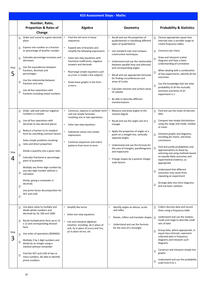|           | <b>KS3 Assessment Steps - Maths</b>                      |                                                                                                                                                                                                                                                                                                                                                                             |                                                                                                                                                                                                                                                                                                                                                                                                    |           |                                                                                                                                                                                                                                                                                                                                                                                                                                 |                       |                                                                                                                                                                                                                                                                                                                                                                                                                                 |
|-----------|----------------------------------------------------------|-----------------------------------------------------------------------------------------------------------------------------------------------------------------------------------------------------------------------------------------------------------------------------------------------------------------------------------------------------------------------------|----------------------------------------------------------------------------------------------------------------------------------------------------------------------------------------------------------------------------------------------------------------------------------------------------------------------------------------------------------------------------------------------------|-----------|---------------------------------------------------------------------------------------------------------------------------------------------------------------------------------------------------------------------------------------------------------------------------------------------------------------------------------------------------------------------------------------------------------------------------------|-----------------------|---------------------------------------------------------------------------------------------------------------------------------------------------------------------------------------------------------------------------------------------------------------------------------------------------------------------------------------------------------------------------------------------------------------------------------|
|           |                                                          | Number, Ratio,<br><b>Proportion &amp; Rates of</b><br>Change                                                                                                                                                                                                                                                                                                                | Algebra                                                                                                                                                                                                                                                                                                                                                                                            |           | Geometry                                                                                                                                                                                                                                                                                                                                                                                                                        |                       | <b>Probability &amp; Statistics</b>                                                                                                                                                                                                                                                                                                                                                                                             |
| Step<br>5 | $\Box$<br>$\Box$<br>$\Box$<br>$\Box$<br>$\Box$<br>$\Box$ | Order and round to a given decimal<br>place<br>Express one number as a fraction<br>or percentage of another number<br>Calculate percentage increases and<br>decreases<br>Use the equivalences between<br>fractions, decimals and<br>percentages<br>Use the relationship between<br>fractions and ratio<br>Use all four operations with<br>fractions including mixed numbers | Find the nth term in linear<br>$\bullet$<br>sequences<br>Expand sets of brackets and<br>$\bullet$<br>simplify the following expressions<br>$\bullet$<br>Solve two step equations with<br>fractional coefficients, negative<br>answers and decimals<br>Rearrange simple equations such<br>$\bullet$<br>as $y=mx +c$ (make x the subject)<br>Draw linear graphs in the form<br>$\bullet$<br>$y=mx+c$ | $\bullet$ | Recall and use the properties of<br>quadrilaterals in classifying different<br>types of quadrilateral<br>Use standard ruler and compass<br>construction techniques<br>Understand and use the relationship<br>between parallel lines and alternate<br>and corresponding angles<br>Recall and use appropriate formulae<br>for finding circumferences and<br>areas of circles<br>Calculate volumes and surface areas<br>of cuboids | П<br>П<br>П<br>П<br>П | Choose appropriate equal class<br>intervals over a sensible range to<br>create frequency tables<br>Construct pie charts<br>Draw and interpret scatter<br>diagrams and have a basic<br>understanding of correlation<br>When dealing with a combination<br>of two experiments, identify all the<br>outcomes<br>Use the knowledge that the total<br>probability of all the mutually<br>exclusive outcomes of an<br>experiment is 1 |
|           |                                                          |                                                                                                                                                                                                                                                                                                                                                                             |                                                                                                                                                                                                                                                                                                                                                                                                    |           | Be able to describe different<br>transformations                                                                                                                                                                                                                                                                                                                                                                                |                       |                                                                                                                                                                                                                                                                                                                                                                                                                                 |
|           | П                                                        | Order, add and subtract negative<br>numbers in context                                                                                                                                                                                                                                                                                                                      | Construct, express in symbolic form<br>$\bullet$<br>and use simple formulae                                                                                                                                                                                                                                                                                                                        |           | Measure and draw angles to the<br>nearest degree                                                                                                                                                                                                                                                                                                                                                                                | П                     | Find and use the mean of discrete<br>data                                                                                                                                                                                                                                                                                                                                                                                       |
|           | $\Box$                                                   | Use all four operations with<br>decimals to two decimal places                                                                                                                                                                                                                                                                                                              | involving one or two operations<br>Solve two step equations<br>$\bullet$                                                                                                                                                                                                                                                                                                                           |           | Recall and use the angle sum of a<br>triangle                                                                                                                                                                                                                                                                                                                                                                                   | П                     | Compare two simple distributions<br>using the range and mode, median<br>or mean                                                                                                                                                                                                                                                                                                                                                 |
|           | $\Box$                                                   | Reduce a fraction to its simplest<br>form by cancelling common factors                                                                                                                                                                                                                                                                                                      | Substitute values into simple<br>expressions                                                                                                                                                                                                                                                                                                                                                       |           | Apply the properties of angles at a<br>point on a straight line, vertically<br>opposite angles                                                                                                                                                                                                                                                                                                                                  | $\Box$                | Interpret graphs and diagrams,<br>including pie charts, and draw                                                                                                                                                                                                                                                                                                                                                                |
| Step<br>4 | $\Box$<br>□<br>$\Box$                                    | Solve simple problems involving<br>ratio and direct proportion<br>Divide a quantity into a given ratio<br>Calculate fractional or percentage<br>parts of quantities                                                                                                                                                                                                         | Continue sequences and notice<br>patterns from term to term                                                                                                                                                                                                                                                                                                                                        |           | Understand and use the formula for<br>the area of triangles, parallelograms<br>and trapeziums<br>Enlarge shapes by a positive integer<br>scale factors                                                                                                                                                                                                                                                                          | П                     | conclusions<br>Find and justify probabilities and<br>approximations to these by<br>selecting and using methods based<br>on equally likely outcomes and<br>experimental evidence, as<br>appropriate                                                                                                                                                                                                                              |
|           | О<br>$\Box$<br>$\Box$                                    | Multiply any three-digit number by<br>any two-digit number without a<br>calculator<br>Divide, giving a remainder in<br>decimals<br>Use prime factor decomposition for<br>HCF and LCM                                                                                                                                                                                        |                                                                                                                                                                                                                                                                                                                                                                                                    |           |                                                                                                                                                                                                                                                                                                                                                                                                                                 | П<br>□                | Understand that different<br>outcomes may result from<br>repeating an experiment<br>Arrange data into Venn diagrams<br>and use basic notation                                                                                                                                                                                                                                                                                   |
| Step<br>3 | $\Box$<br>$\Box$<br>$\Box$                               | Use place value to multiply and<br>divide whole numbers and<br>decimals by 10, 100 and 1000<br>Recall multiplication facts up to 12<br>x 12 and corresponding division<br>facts<br>Use order of operations (BIDMAS)                                                                                                                                                         | Simplify like terms<br>Solve one-step equations<br>$\bullet$<br>$\bullet$<br>Use and interpret algebraic<br>notation, including: ab in place of<br>axb, 3y in place of y+y+y and 3xy,<br>a2 in place of axa, etc                                                                                                                                                                                   |           | Identify angles as obtuse, acute<br>and reflex<br>Rotate, reflect and translate shapes<br>Understand and use the formula<br>for the area of a rectangle                                                                                                                                                                                                                                                                         | П<br>$\Box$           | Collect discrete data and record<br>them using a frequency table<br>Understand and use the median,<br>mode and range to describe small<br>sets of data<br>Group data, where appropriate, in<br>equal class intervals, represent<br>collected data in frequency                                                                                                                                                                  |
|           | П<br>$\Box$                                              | Multiply 2 by 2 digit numbers and<br>divide by an integer using a<br>method without remainder<br>Find the HCF and LCM of two or<br>more numbers. Be able to identify<br>prime numbers                                                                                                                                                                                       |                                                                                                                                                                                                                                                                                                                                                                                                    |           |                                                                                                                                                                                                                                                                                                                                                                                                                                 | $\Box$<br>П           | diagrams and interpret such<br>diagrams<br>Construct and interpret simple line<br>graphs<br>Understand and use the probability<br>scale from 0 to 1                                                                                                                                                                                                                                                                             |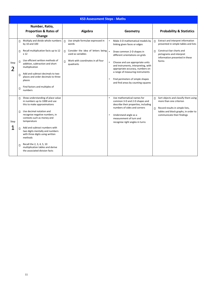|           | <b>KS3 Assessment Steps - Maths</b> |                                                                                                                |        |                                                         |  |                                                                                                                     |        |                                                                                                       |
|-----------|-------------------------------------|----------------------------------------------------------------------------------------------------------------|--------|---------------------------------------------------------|--|---------------------------------------------------------------------------------------------------------------------|--------|-------------------------------------------------------------------------------------------------------|
|           |                                     | Number, Ratio,                                                                                                 |        |                                                         |  |                                                                                                                     |        |                                                                                                       |
|           |                                     | <b>Proportion &amp; Rates of</b>                                                                               |        | <b>Algebra</b>                                          |  | Geometry                                                                                                            |        | <b>Probability &amp; Statistics</b>                                                                   |
|           |                                     | Change                                                                                                         |        |                                                         |  |                                                                                                                     |        |                                                                                                       |
|           | □                                   | Multiply and divide whole numbers<br>by 10 and 100                                                             | $\Box$ | Use simple formulae expressed in<br>words               |  | Make 3-D mathematical models by<br>linking given faces or edges                                                     | $\Box$ | Extract and interpret information<br>presented in simple tables and lists                             |
|           | □                                   | Recall multiplication facts up to 12<br>x <sub>12</sub>                                                        | $\Box$ | Consider the idea of letters being<br>used as variables |  | Draw common 2-D shapes in<br>different orientations on grids                                                        | $\Box$ | Construct bar charts and<br>pictograms and interpret<br>information presented in these                |
| Step<br>2 | $\Box$                              | Use efficient written methods of<br>addition, subtraction and short<br>multiplication                          | $\Box$ | Work with coordinates in all four<br>quadrants          |  | Choose and use appropriate units<br>and instruments, interpreting, with<br>appropriate accuracy, numbers on         |        | forms                                                                                                 |
|           | $\Box$                              | Add and subtract decimals to two<br>places and order decimals to three<br>places                               |        |                                                         |  | a range of measuring instruments<br>Find perimeters of simple shapes<br>and find areas by counting squares          |        |                                                                                                       |
|           | $\Box$                              | Find factors and multiples of<br>numbers                                                                       |        |                                                         |  |                                                                                                                     |        |                                                                                                       |
|           | П.                                  | Show understanding of place value<br>in numbers up to 1000 and use<br>this to make approximations              |        |                                                         |  | Use mathematical names for<br>common 3-D and 2-D shapes and<br>describe their properties, including                 | $\Box$ | Sort objects and classify them using<br>more than one criterion                                       |
| Step      | П                                   | Use decimal notation and<br>recognise negative numbers, in<br>contexts such as money and<br>temperature        |        |                                                         |  | numbers of sides and corners<br>Understand angle as a<br>measurement of turn and<br>recognise right angles in turns | $\Box$ | Record results in simple lists,<br>tables and block graphs, in order to<br>communicate their findings |
|           |                                     | Add and subtract numbers with<br>two digits mentally and numbers<br>with three digits using written<br>methods |        |                                                         |  |                                                                                                                     |        |                                                                                                       |
|           | $\Box$                              | Recall the 2, 3, 4, 5, 10<br>multiplication tables and derive<br>the associated division facts                 |        |                                                         |  |                                                                                                                     |        |                                                                                                       |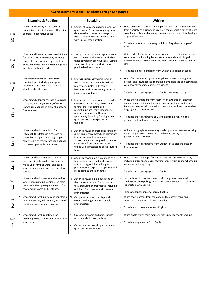|           | KS3 Assessment Steps - Modern Foreign Languages |                                                                                                                                                                                                       |        |                                                                                                                                                                                                                                                                           |           |                                                                                                                                                                                                                                                                                                                                   |  |
|-----------|-------------------------------------------------|-------------------------------------------------------------------------------------------------------------------------------------------------------------------------------------------------------|--------|---------------------------------------------------------------------------------------------------------------------------------------------------------------------------------------------------------------------------------------------------------------------------|-----------|-----------------------------------------------------------------------------------------------------------------------------------------------------------------------------------------------------------------------------------------------------------------------------------------------------------------------------------|--|
|           |                                                 | <b>Listening &amp; Reading</b>                                                                                                                                                                        |        | <b>Speaking</b>                                                                                                                                                                                                                                                           |           | <b>Writing</b>                                                                                                                                                                                                                                                                                                                    |  |
| Step<br>9 | П                                               | Understand longer, varied texts on<br>unfamiliar topics, in the case of listening<br>spoken at near native speed                                                                                      | П      | Confidently ask and answer a range of<br>questions for 2-3 minutes giving more<br>developed responses on a range of<br>topics and showing the ability to cope<br>with unexpected questions                                                                                |           | Write extended pieces of several paragraphs from memory, drawn<br>from a variety of current and previous topics, using a range of more<br>complex structures which may contain minor errors but with a high<br>degree of accuracy<br>Translate more than one paragraph from English on a range of<br>topics                       |  |
| Step<br>8 | $\Box$                                          | Understand longer passages containing a<br>few unpredictable elements, including a<br>range of structures and topics and can<br>cope with some unfamiliar language in a<br>variety of authentic texts |        | Take part in a continuous spontaneous<br>exchange on familiar topics, including<br>those covered in previous years, using a<br>variety of structures and with less<br>predictable interactions                                                                            |           | Write texts of several paragraphs from memory, using a variety of<br>structures, manipulating known structures and combining with<br>new elements to produce new meanings, which are almost always<br>clear<br>Translate a longer paragraph from English on a range of topics                                                     |  |
| Step      | $\Box$                                          | Understand longer passages from<br>fourfive topics including a range of<br>structures, and can infer meaning in<br>simple authentic texts                                                             | □      | Interact confidently within familiar<br>topics and in classroom talk without<br>reference to notes, with some<br>hesitation and/or inaccuracy but with<br>increasing spontaneity                                                                                          | $\bullet$ | Write from memory at greater length on one topic, using past,<br>present and future tenses, recycling learnt language and combining<br>with new elements to express own ideas<br>Translate short paragraphs from English on a range of topics                                                                                     |  |
| Step<br>6 | $\Box$                                          | Understand a longer passage on a range<br>of topics, inferring meaning of some<br>unfamiliar language in present, past and<br>future tenses                                                           | □      | Interact across three-four topics and in<br>classroom talk, in past, present and<br>future tenses, adapting and<br>recombining pre-learnt language to<br>produce exchanges with some<br>spontaneity, including forming some<br>questions with some pauses for<br>thinking | $\bullet$ | Write short paragraphs from memory on two-three topics with<br>good accuracy, using past, present and future tenses, adapting<br>known structures (with some inaccuracy) and add new, researched<br>language with some success<br>Translate short paragraphs on 2-3 topics from English in the<br>present, past and future tenses |  |
| Step<br>5 | $\Box$                                          | Understand (with repetition for<br>listening), the details in a passage on<br>more than 1 topic comprising simple<br>sentences with mostly familiar language<br>in present, past or future tenses     | $\Box$ | Ask and answer an increasing range of<br>questions in topic-based and classroom<br>interaction adapting language<br>appropriately, and can give information<br>confidently from twothree recent<br>topics, using present and past or future<br>tenses                     | $\bullet$ | Write a paragraph from memory made up of short sentences using<br>taught language on a few topics, with some errors, using past,<br>present or future tenses<br>Translate short paragraphs from English in the present, past or<br>future tenses                                                                                  |  |
| Step<br>4 | $\Box$                                          | Understand (with repetition where<br>necessary in listening), a short passage<br>made up of familiar words and basic<br>sentences in present and past or future<br>tenses                             | O      | Ask and answer simple questions on a<br>few familiar topics and in classroom<br>talk including opinions with good<br>pronunciation, expressing opinions and<br>responding to those of others                                                                              |           | Write a short paragraph from memory using simple sentences,<br>including present and past or future tenses, from one familiar topic<br>with reasonable spelling<br>Translate short paragraphs from English                                                                                                                        |  |
| Step<br>3 | $\Box$                                          | Understand (with pauses and repetition<br>where necessary in listening), the main<br>points of a short passage made up of a<br>few familiar words and sentence.                                       | O      | Ask and answer simple questions on<br>the current topic and for classroom<br>talk, producing short phrases, including<br>opinions, from memory with secure<br>pronunciation                                                                                               | $\bullet$ | Write short phrases from memory in the present tense, with<br>understandable spelling, and change some elements in sentences<br>to create new meaning<br>Translate longer sentences from English.                                                                                                                                 |  |
| Step<br>2 | Л                                               | Understand, (with pauses and repetition<br>where necessary in listening), a range of<br>familiar words and short sentences                                                                            | □      | Can perform short role plays with<br>several exchanges and reasonable<br>pronunciation                                                                                                                                                                                    |           | Write short phrases from memory on the current topic and<br>substitute one element to vary meaning<br>Translate short sentences from English                                                                                                                                                                                      |  |
|           | П                                               | Understand, (with repetition for                                                                                                                                                                      |        | Say familiar words and phrases with                                                                                                                                                                                                                                       |           | Write single words from memory with understandable spelling                                                                                                                                                                                                                                                                       |  |

| Step | listening), some familiar words and short | understandable pronunciation         |                                      |
|------|-------------------------------------------|--------------------------------------|--------------------------------------|
|      | sentences.                                |                                      | Translate single words from English. |
|      |                                           | Can ask and answer simple pre-learnt |                                      |
|      |                                           | questions from memory                |                                      |
|      |                                           |                                      |                                      |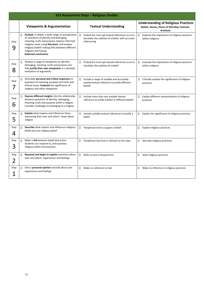|                  | KS3 Assessment Steps - Religious Studies                                                                                                                                                                                                                                                             |                                                                                                                         |                                                                                                                    |  |  |  |  |  |
|------------------|------------------------------------------------------------------------------------------------------------------------------------------------------------------------------------------------------------------------------------------------------------------------------------------------------|-------------------------------------------------------------------------------------------------------------------------|--------------------------------------------------------------------------------------------------------------------|--|--|--|--|--|
|                  | <b>Viewpoints &amp; Argumentation</b>                                                                                                                                                                                                                                                                | <b>Textual Understanding</b>                                                                                            | <b>Understanding of Religious Practices</b><br>Beliefs, Stories, Places of Worship, Festivals,<br><b>Artefacts</b> |  |  |  |  |  |
| Step<br>9        | Analyse, in depth, a wide range on perspectives<br>П<br>on questions of identity and belonging,<br>meaning, truth and purpose. Express informed<br>religious views using literature, and analyse<br>religious beliefs making links between different<br>religions and having<br>balanced conclusions | Embed the most apt textual references so as to<br>П<br>elucidate the subtlety of a belief, with accurate<br>referencing | Evaluate the importance of religious practices<br>0<br>within religions                                            |  |  |  |  |  |
| Step<br>8        | Analyse a range of viewpoints on identity,<br>п<br>belonging, meaning, truth and purpose and<br>fully justify their own viewpoints in a detailed<br>evaluation of arguments                                                                                                                          | Ο<br>Embed the most apt textual references so as to<br>elucidate the subtlety of a belief                               | Evaluate the importance of religious practices<br>$\Box$<br>within religions                                       |  |  |  |  |  |
| Step             | Articulate personal and critical responses to<br>п<br>questions of meaning, purpose and truth and<br>ethical issues. Evaluate the significance of<br>religious and other viewpoints                                                                                                                  | Include a range of suitable and accurately<br>□<br>quoted textual reference to justify different<br>beliefs             | $\Box$<br>Critically analyse the significance of religious<br>practices                                            |  |  |  |  |  |
| Step<br>6        | Express different insights into the relationship<br>П<br>between questions of identity, belonging,<br>meaning, truth and purpose within a religion.<br>Consider challenges to belonging to a religion                                                                                                | Include more than one suitable textual<br>П<br>reference to justify a belief or different beliefs                       | Explain different interpretations of religious<br>$\Box$<br>practices                                              |  |  |  |  |  |
| Step<br>5<br>پ   | Explain what inspires and influences them,<br>п<br>expressing their own and others' views about<br>religion                                                                                                                                                                                          | Include suitable textual references to justify a<br>□<br>belief                                                         | Explain the significance of religious practices<br>$\Box$                                                          |  |  |  |  |  |
| Step<br>4        | Describe what inspires and influences religious<br>П<br>belief and non-religious belief                                                                                                                                                                                                              | $\Box$<br>Paraphrase text to support a belief                                                                           | Explain religious practices<br>0                                                                                   |  |  |  |  |  |
| Step<br>3        | Make a link between belief and action.<br>Students can respond to, and question,<br>religious belief and practices                                                                                                                                                                                   | Paraphrase text that is relevant to the topic<br>□                                                                      | Describe religious practices<br>$\Box$                                                                             |  |  |  |  |  |
| Step<br><b>2</b> | Respond and begin to explain questions about<br>own and others' experiences and feelings                                                                                                                                                                                                             | Refer to text in broad terms<br>□                                                                                       | State religious practices<br>$\Box$                                                                                |  |  |  |  |  |
| Step             | Give a personal opinion and talk about own<br>П.<br>experiences and feelings                                                                                                                                                                                                                         | Make no reference to text<br>$\Box$                                                                                     | Make no reference to religious practices<br>$\Box$                                                                 |  |  |  |  |  |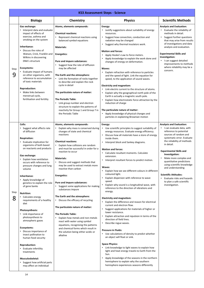|           |                                                                                                                                                                                                                                                                                                                                                                                                                                                                                                                                                                             |                                                                                                                                                                                                                                                                                                                                                                                                                                                                                                                                                                                                                                       | <b>KS3 Assessment Steps - Science</b>                                                                                                                                                                                                                                                                                                                                                                                                                                                                                                                                                                                                                                                                                                                                                                                                                                                                                        |                                                                                                                                                                                                                                                                                                                                                                                                                                                                                              |
|-----------|-----------------------------------------------------------------------------------------------------------------------------------------------------------------------------------------------------------------------------------------------------------------------------------------------------------------------------------------------------------------------------------------------------------------------------------------------------------------------------------------------------------------------------------------------------------------------------|---------------------------------------------------------------------------------------------------------------------------------------------------------------------------------------------------------------------------------------------------------------------------------------------------------------------------------------------------------------------------------------------------------------------------------------------------------------------------------------------------------------------------------------------------------------------------------------------------------------------------------------|------------------------------------------------------------------------------------------------------------------------------------------------------------------------------------------------------------------------------------------------------------------------------------------------------------------------------------------------------------------------------------------------------------------------------------------------------------------------------------------------------------------------------------------------------------------------------------------------------------------------------------------------------------------------------------------------------------------------------------------------------------------------------------------------------------------------------------------------------------------------------------------------------------------------------|----------------------------------------------------------------------------------------------------------------------------------------------------------------------------------------------------------------------------------------------------------------------------------------------------------------------------------------------------------------------------------------------------------------------------------------------------------------------------------------------|
|           | <b>Biology</b>                                                                                                                                                                                                                                                                                                                                                                                                                                                                                                                                                              | Chemistry                                                                                                                                                                                                                                                                                                                                                                                                                                                                                                                                                                                                                             | <b>Physics</b>                                                                                                                                                                                                                                                                                                                                                                                                                                                                                                                                                                                                                                                                                                                                                                                                                                                                                                               | <b>Scientific Methods</b>                                                                                                                                                                                                                                                                                                                                                                                                                                                                    |
| Step<br>9 | Gas exchange:<br>Interpret data and evaluate<br>impact of effects of<br>exercise, asthma and<br>smoking on the system<br>Inheritance:<br>Discuss the roles of<br>$\bullet$<br>Watson, Crick, Franklin and<br>Wilkins in discovering<br>DNA's structure<br>Ecosystems:<br>Evaluate impact of humans<br>on other organisms, with<br>reference to accumulation<br>of toxic materials<br><b>Reproduction:</b><br>Make links between<br>$\bullet$<br>menstrual cycle,<br>fertilisation and fertility                                                                             | Atoms, elements compounds:<br><b>Chemical reactions:</b><br>Represent chemical reactions using<br>balanced symbol equations<br><b>Materials:</b><br><b>Energetics:</b><br>Pure and impure substances:<br>Suggest how the rate of diffusion<br>may be affected<br>The Earth and the atmosphere:<br>Link the formation of rocks together<br>to describe and explain the rock<br>cycle in detail<br>The particulate nature of matter:<br><b>The Periodic Table:</b><br>Link group number and electron<br>structure to explain the patterns of<br>reactivity for Group 1 and Group 7 in<br>the Periodic Table                             | Energy:<br>Justify suggestions about suitability of energy<br>resources.<br>Suggest how convection, conduction and<br>radiation may be changed<br>Suggest why thermal insulators work.<br><b>Motion and forces:</b><br>Apply Hooke's Law to force meters.<br>$\bullet$<br>Apply knowledge to explain the work done and<br>changes of energy on deformation.<br><b>Waves:</b><br>Explain refraction with reference to particles<br>and the speed of light. Link the equation for<br>speed, to the application of sound waves.<br><b>Electricity and magnetism:</b><br>Link electric current to the structure of atoms.<br>Explain why the geographical north pole of the<br>Earth is actually a magnetic south pole.<br>Explain how electrostatic force attraction by the<br>induction of charge<br>The particulate nature of matter:<br>• Apply knowledge of physical changes and<br>particles in explaining Brownian motion | <b>Analysis and Evaluation:</b><br>Evaluate the reliability of<br>methods in detail.<br>Suggest further questions<br>$\bullet$<br>that may arise from results<br>of investigations and data<br>analysis and evaluation.<br><b>Experimental Skills and</b><br>Investigation:<br>I can suggest detailed<br>improvements to methods<br>where reliability may be a<br>concern.                                                                                                                   |
| Step<br>8 | Cells:<br>Suggest what affects rate<br>of diffusion<br><b>Respiration:</b><br>Evaluate implication for<br>$\bullet$<br>organisms of both based<br>on reactants and products<br>Gas exchange:<br>Explain how ventilation<br>$\bullet$<br>occurs with reference to<br>pressure changes and lung<br>volume<br>Inheritance:<br>Apply knowledge of<br>$\bullet$<br>genetics to explain the role<br>of gene banks<br><b>Nutrition:</b><br>Calculate energy<br>requirements of a healthy<br>diet<br><b>Photosynthesis:</b><br>Link importance of<br>$\bullet$<br>photosynthosis to | Atoms, elements compounds:<br>Explain why mass is conserved during<br>changes of state and chemical<br>reactions<br><b>Chemical reactions:</b><br>Explain how collisions are random<br>and must be successful in order for a<br>reaction to occur<br><b>Materials:</b><br>• Discuss and suggest methods that<br>may be used to extract metals more<br>reactive than carbon<br><b>Energetics:</b><br>Pure and impure substances:<br>Suggest some applications for making<br>substances impure<br>The Earth and the atmosphere:<br>Discuss the efficacy of recycling<br>The particulate nature of matter:<br><b>The Periodic Table:</b> | Energy:<br>Use scientific principles to suggest suitability of<br>energy resources. Evaluate energy efficiency.<br>Discuss how all materials have a store of energy<br>inside them.<br>Interpret block and Sankey diagrams.<br><b>Motion and forces:</b><br>Calculate resultant moments. Calculate<br>extension.<br>Interpret resultant forces to predict motion.<br>Waves:<br>Explain how we see different colours in different<br>coloured light.<br>Explain dispersion with reference to wave<br>speed.<br>Explain why sound is a longitudinal wave, with<br>reference to the direction of vibrations and<br>energy.<br><b>Electricity and magnetism:</b><br>Explain the difference and reason for electrical<br>current and electron flow.<br>Suggest applications for materials of higher or<br>lower resistance.<br>Explain attraction and repulsion in terms of the                                                   | <b>Analysis and Evaluation:</b><br>I can evaluate data, with<br>reference to potential<br>sources of random and<br>systematic error. Evaluate<br>the reliability of methods<br>in detail.<br><b>Experimental Skills and</b><br>Investigation:<br>Make more complex and<br>$\bullet$<br>quantitative predictions<br>using scientific knowledge<br>and understanding<br><b>Scientific Attitudes:</b><br>Evaluate risks and hazards<br>$\bullet$<br>to plan a safe scientific<br>investigation. |

photosynthesis to atmospheric gases

#### **Ecosystems:**

• Discuss importance of insect pollination to human food security

#### **Reproduction:**

• Evaluate infertility treatments

#### **Musculoskeletal:**

- Suggest how artificial parts may affect an individual
- Explain how metals and non-metals react with water using symbol equations, recognising the patterns and chemical forms which result in the solution being either acidic or alkaline

#### direction of field lines.

• Describe rogue waves.

#### **Pressure in Fluids:**

• Use calculations of density to predict whether an object will float or sink.

#### **Space Physics:**

- Link knowledge to light waves to explain how light and heat energy travels to Earth from the Sun.
- Apply knowledge of the seasons in the northern hemisphere to explain why the southern hemisphere experiences seasons differently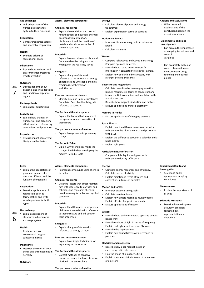| Step<br>7 | Gas exchange:<br>Link adaptations of the<br>human gas exchange<br>system to their functions<br><b>Respiration:</b><br>• Compare/contrast aerobic<br>and anaerobic respiration<br>Health:<br>• Evaluate effects of<br>recreational drugs<br>Inheritance:<br>Explain how variation and<br>environmental pressures<br>lead to evolution<br><b>Nutrition:</b><br>• Discuss benefits of gut<br>bacteria, and link adaptions<br>and function of digestive<br>organs<br>Photosynthesis:<br>• Explain leaf adaptations<br>Ecosystems:<br>Explain how changes in<br>numbers of one organism<br>affect another, referencing<br>competition and predation<br><b>Reproduction:</b><br>Discuss impact of maternal<br>$\bullet$<br>lifestyle on the foetus | Atoms, elements compounds:<br><b>Chemical reactions:</b><br>Explain the conditions and uses of<br>neutralisation, combustion, thermal<br>decomposition, oxidation,<br>displacement and the reaction of<br>metals and acids, as examples of<br>chemical reactions<br><b>Materials:</b><br>Explain how metals can be obtained<br>from metal oxides using carbon,<br>when given the reactivity series<br><b>Energetics:</b><br>Explain changes of state with<br>reference to the amounts of energy<br>of particles and whether a chemical<br>reaction is exothermic or<br>endothermic<br>Pure and impure substances:<br>Identify pure and impure substances<br>from data. Describe dissolving, with<br>reference to particles<br>The Earth and the atmosphere:<br>Explain the factors that may affect<br>the appearance and properties of<br>these rocks<br>The particulate nature of matter:<br>Explain how pressure in gases may<br>change<br><b>The Periodic Table:</b><br>Explain why Mendeleev made the<br>changes he did when developing the<br>modern Periodic Table | Energy:<br>Calculate electrical power and energy<br>transferred<br>Explain expansion in terms of particles<br>$\bullet$<br><b>Motion and forces:</b><br>Interpret distance-time graphs to calculate<br>speed<br>Calculate moments<br>$\bullet$<br>Waves:<br>Compare light waves and waves in matter $\square$<br>Compare eyes and cameras.<br>Describe how sound waves to transfer<br>information if converted to electrical signals.<br>Explain how colour blindness occurs, with<br>reference to rod and cones<br><b>Electricity and magnetism:</b><br>Calculate quantities by rearranging equations.<br>Discuss resistance in terms of conductors and<br>insulators. Link conduction and insulation with<br>atomic structure.<br>Describe how magnetic induction and motors.<br>Discuss applications of static electricity<br>$\bullet$<br><b>Pressure In Fluids:</b><br>Discuss applications of changing pressure<br>$\bullet$<br><b>Space Physics:</b><br>Explain how the different seasons occur with<br>reference to the tilt of the Earth and proximity<br>to the Sun.<br>Explain the difference between a calendar and a<br>$\bullet$<br>lunar month.<br>Explain light years<br>$\bullet$<br><b>Particulate nature of matter:</b><br>Compare solids, liquids and gases with<br>$\bullet$<br>reference to density difference | <b>Analysis and Evaluation:</b><br>Write reasoned<br>$\bullet$<br>explanations of the<br>conclusion based on the<br>experimental data<br><b>Experimental Skills and</b><br>Investigation:<br>Can explain the importance<br>of sampling techniques and<br>control<br>variables<br>Can accurately make and<br>$\bullet$<br>record observations and<br>measurements using<br>rounding and decimal<br>points |
|-----------|----------------------------------------------------------------------------------------------------------------------------------------------------------------------------------------------------------------------------------------------------------------------------------------------------------------------------------------------------------------------------------------------------------------------------------------------------------------------------------------------------------------------------------------------------------------------------------------------------------------------------------------------------------------------------------------------------------------------------------------------|--------------------------------------------------------------------------------------------------------------------------------------------------------------------------------------------------------------------------------------------------------------------------------------------------------------------------------------------------------------------------------------------------------------------------------------------------------------------------------------------------------------------------------------------------------------------------------------------------------------------------------------------------------------------------------------------------------------------------------------------------------------------------------------------------------------------------------------------------------------------------------------------------------------------------------------------------------------------------------------------------------------------------------------------------------------------------|--------------------------------------------------------------------------------------------------------------------------------------------------------------------------------------------------------------------------------------------------------------------------------------------------------------------------------------------------------------------------------------------------------------------------------------------------------------------------------------------------------------------------------------------------------------------------------------------------------------------------------------------------------------------------------------------------------------------------------------------------------------------------------------------------------------------------------------------------------------------------------------------------------------------------------------------------------------------------------------------------------------------------------------------------------------------------------------------------------------------------------------------------------------------------------------------------------------------------------------------------------------------------------------------------------------------------------------|----------------------------------------------------------------------------------------------------------------------------------------------------------------------------------------------------------------------------------------------------------------------------------------------------------------------------------------------------------------------------------------------------------|
|           | Cells:<br>Explain the adaptations of<br>plant and animal cells,<br>describe diffusion and the<br>function of organelles<br><b>Respiration:</b><br>Describe applications of<br>respiration, such as<br>fermentation and write<br>word equations for both<br>types<br>Gas exchange:                                                                                                                                                                                                                                                                                                                                                                                                                                                            | Atoms, elements compounds:<br>Represent compounds using chemical<br>formulae<br><b>Chemical reactions:</b><br>Describe factors that affect reaction<br>rate with reference to particles and<br>collisions and represent chemical<br>reactions using formulae and symbol<br>equations<br><b>Materials:</b><br>Explain the differences in properties<br>of different materials with reference                                                                                                                                                                                                                                                                                                                                                                                                                                                                                                                                                                                                                                                                              | Energy:<br>Compare energy resources and efficiency.<br>Calculate cost of electricity<br>Explain radiation in terms of waves and<br>convection, in terms of particles<br><b>Motion and forces:</b><br>• Interpret distance-time graphs<br>Calculate resultant force<br>$\bullet$<br>Explain how simple machines multiply force<br>$\bullet$<br>Explain effects of opposite moments<br>$\bullet$<br>Discuss applications of friction<br><b>Waves:</b>                                                                                                                                                                                                                                                                                                                                                                                                                                                                                                                                                                                                                                                                                                                                                                                                                                                                                  | <b>Experimental Skills and</b><br>Investigation:<br>Select and apply<br>appropriate sampling<br>techniques<br><b>Measurement:</b><br>Explain the importance of<br>SI units<br><b>Scientific Attitudes:</b><br>Describe how to improve<br>$\bullet$<br>accuracy, precision,<br>repeatability,                                                                                                             |
| Step      | Explain adaptations of<br>structures in human gas                                                                                                                                                                                                                                                                                                                                                                                                                                                                                                                                                                                                                                                                                            | to their structure and link uses to<br>their properties                                                                                                                                                                                                                                                                                                                                                                                                                                                                                                                                                                                                                                                                                                                                                                                                                                                                                                                                                                                                                  | Describe how pinhole cameras, eyes and convex<br>Jonsee week                                                                                                                                                                                                                                                                                                                                                                                                                                                                                                                                                                                                                                                                                                                                                                                                                                                                                                                                                                                                                                                                                                                                                                                                                                                                         | reproducibility and<br>objectivity                                                                                                                                                                                                                                                                                                                                                                       |

|--|

exchange system

**Health:**

• Explain effects of recreational drug and substance misuse

**Inheritance:**

• Describe the roles of DNA, genes and chromosomes in heredity

**Nutrition:**

#### **Energetics:**

• Explain changes of states with reference to energy changes

#### **Pure and impure substances:**

• Explain how simple techniques for separating mixtures work

#### **The Earth and the atmosphere:**

• Suggest methods to conserve resources reduce the level of carbon dioxide in the atmosphere

**The particulate nature of matter:** 

#### lenses work

- Describe colours of light in terms of frequency
- Explain that light as a transverse EM wave
- Describe the superposition
- Explain how sound travels with reference to particles

#### **Electricity and magnetism**:

- Describe how a bar magnet inside an electromagnetic field moves
- Find the shape of a magnetic field
- Explain static electricity in terms of movement of electrons

objectivity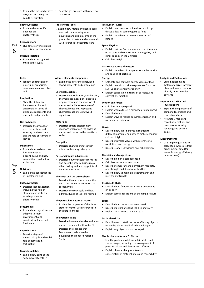construct and interpret food webs

#### **Reproduction:**

• Describe stages of menstrual cycle and explain role of gametes in fertilisation

#### **Musculoskeletal:**

• Explain how parts of the system work together

|           | Explain the role of digestive<br>enzymes and how plants<br>gain their nutrition                                                                                                                                                                                                                                                                                                                                                                                                                                                                                                                                                                                                                                                                                                                    | Describe gas pressure with reference<br>to particles                                                                                                                                                                                                                                                                                                                                                                                                                                                                                                                                                                                                                                                                                                                                                                                                                                                                                                                                                                                                                                                                                                      |                                                                                                                                                                                                                                                                                                                                                                                                                                                                                                                                                                                                                                                                                                                                                                                                                                                                                                                                                                                                                                                                                                                                                                                                                                                                |                                                                                                                                                                                                                                                                                                                                                                                                                                                                                                                                                           |
|-----------|----------------------------------------------------------------------------------------------------------------------------------------------------------------------------------------------------------------------------------------------------------------------------------------------------------------------------------------------------------------------------------------------------------------------------------------------------------------------------------------------------------------------------------------------------------------------------------------------------------------------------------------------------------------------------------------------------------------------------------------------------------------------------------------------------|-----------------------------------------------------------------------------------------------------------------------------------------------------------------------------------------------------------------------------------------------------------------------------------------------------------------------------------------------------------------------------------------------------------------------------------------------------------------------------------------------------------------------------------------------------------------------------------------------------------------------------------------------------------------------------------------------------------------------------------------------------------------------------------------------------------------------------------------------------------------------------------------------------------------------------------------------------------------------------------------------------------------------------------------------------------------------------------------------------------------------------------------------------------|----------------------------------------------------------------------------------------------------------------------------------------------------------------------------------------------------------------------------------------------------------------------------------------------------------------------------------------------------------------------------------------------------------------------------------------------------------------------------------------------------------------------------------------------------------------------------------------------------------------------------------------------------------------------------------------------------------------------------------------------------------------------------------------------------------------------------------------------------------------------------------------------------------------------------------------------------------------------------------------------------------------------------------------------------------------------------------------------------------------------------------------------------------------------------------------------------------------------------------------------------------------|-----------------------------------------------------------------------------------------------------------------------------------------------------------------------------------------------------------------------------------------------------------------------------------------------------------------------------------------------------------------------------------------------------------------------------------------------------------------------------------------------------------------------------------------------------------|
| Step<br>6 | <b>Photosynthesis:</b><br>Explain why most life<br>depends on<br>photosynthesis<br><b>Reproduction:</b><br>• Quantitatively investigate<br>seed dispersal mechanisms<br><b>Musculoskeletal:</b><br>Explain how antagonistic<br>muscle pairs work                                                                                                                                                                                                                                                                                                                                                                                                                                                                                                                                                   | <b>The Periodic Table:</b><br>□ Explain how metals and non-metals<br>react with water using word<br>equations and explain some of the<br>properties of metals and non-metals<br>with reference to their structure                                                                                                                                                                                                                                                                                                                                                                                                                                                                                                                                                                                                                                                                                                                                                                                                                                                                                                                                         | <b>Pressure in Fluids:</b><br>Explain how pressure in liquids results in up<br>thrust, allowing some objects to float<br>Explain the effects of pressure in terms of<br>particles<br><b>Space Physics:</b><br>Explain that our Sun is a star, and that there are<br>other stars and solar systems in our galaxy and<br>other galaxies in the Universe<br>Calculate weight<br><b>Particulate nature of matter:</b><br>Explain the effect of temperature on the motion<br>$\bullet$<br>and spacing of particles                                                                                                                                                                                                                                                                                                                                                                                                                                                                                                                                                                                                                                                                                                                                                  |                                                                                                                                                                                                                                                                                                                                                                                                                                                                                                                                                           |
| Step<br>5 | Cells:<br>• Identify adaptations of<br>unicellular organisms,<br>compare animal and plant<br>cells<br><b>Respiration:</b><br>• State the difference<br>between aerobic and<br>anaerobic, in terms of<br>oxygen requirements and<br>reactants and products<br>Gas exchange:<br>• Describe the impact of<br>exercise, asthma and<br>smoking on the system,<br>and the role of stomata in<br>leaves<br>Inheritance:<br>Explain how variation can<br>be continuous or<br>discontinuous and how<br>competition can lead to<br>extinction<br><b>Nutrition:</b><br>Explain the consequences<br>of unbalanced diet<br>Photosynthesis:<br>• Describe leaf adaptations<br>including the role of<br>stomata, and state the<br>word equation for<br>photosynthesis<br>Ecosystems:<br>Explain how organisms are | Atoms, elements compounds:<br>Explain the differences between<br>$\bullet$<br>atoms, elements and compounds<br><b>Chemical reactions:</b><br>Describe neutralisation, combustion,<br>thermal decomposition, oxidation,<br>displacement and the reaction of<br>metals and acids as examples of<br>chemical reactions. Represent<br>chemical reactions using word<br>equations<br><b>Materials:</b><br>Describe simple displacement<br>$\bullet$<br>reactions when given the order of<br>metals and carbon in the reactivity<br>series<br><b>Energetics:</b><br>Describe changes of states with<br>reference to energy changes<br>Pure and impure substances:<br>Describe how to separate mixtures<br>and describe how impurities may<br>affect boiling and melting points of<br>impure substances<br>The Earth and the atmosphere:<br>Describe the carbon cycle and the<br>impact of human activities on the<br>carbon cycle<br>Describe the rock cycle and how<br>$\bullet$<br>different types of rock are formed<br>The particulate nature of matter:<br>Explain the properties of the three<br>states of matter with reference to<br>the particle model | Energy:<br>Calculate and compare energy values of food<br>Explain how almost all energy comes from the<br>Sun. Calculate energy efficiency<br>Explain conduction in terms of particles, and<br>convection, radiation<br><b>Motion and forces:</b><br>• Calculate average speed<br>Explain when a force is balanced or unbalanced<br>Describe levers<br>Explain ways to reduce or increase friction and<br>air or water resistance<br>Waves:<br>Describe how light behaves in relation to<br>different materials, and how to make secondary<br>colours of light<br>Describe traverse waves, with reference to<br>oscillations and energy<br>Describe sonar, ultrasound and echolocation<br><b>Electricity and magnetism:</b><br>Describe p.d. in a parallel circuit<br>Calculate current or resistance<br>Describe temporary and permanent magnets,<br>and strength and distance of field lines<br>Describe how to make an electromagnet and<br>increase its strength<br><b>Pressure In Fluids:</b><br>Describe how floating or sinking is dependent<br>on density<br>Explain some applications of changing pressure<br>Space:<br>Describe how the seasons are caused<br>Describe factors affecting the size of gravity<br>Explain the existence of a leap year | <b>Analysis and Evaluation:</b><br>Explain random and<br>systematic error. Interpret<br>observations and data to<br>identify more complex<br>patterns<br><b>Experimental Skills and</b><br>Investigation:<br>Explain the importance of<br>sampling techniques and<br>control variables<br>Accurately make and<br>record observations and<br>measurements using<br>rounding and decimal<br>points<br><b>Measurement:</b><br>Use simple equations to<br>calculate new results from<br>experimental data (for<br>example energy efficiency,<br>or work done) |
|           | adapted to their<br>environment, and                                                                                                                                                                                                                                                                                                                                                                                                                                                                                                                                                                                                                                                                                                                                                               | <b>The Periodic Table</b>                                                                                                                                                                                                                                                                                                                                                                                                                                                                                                                                                                                                                                                                                                                                                                                                                                                                                                                                                                                                                                                                                                                                 | والمتمنعة والمرمنات                                                                                                                                                                                                                                                                                                                                                                                                                                                                                                                                                                                                                                                                                                                                                                                                                                                                                                                                                                                                                                                                                                                                                                                                                                            |                                                                                                                                                                                                                                                                                                                                                                                                                                                                                                                                                           |

#### **The Periodic Table**

• Describe how metal oxides and nonmetal oxides react with water  $\square$ Describe the changes that Mendeleev made when he developed the modern Periodic Table

#### **Static electricity:**

- Describe electrostatic forces as affecting objects inside the electric field of a charged object
- Explain why objects attract or repel

#### **The Particulate Nature Of Matter:**

- Use the particle model to explain states and state changes, including: the arrangement of particles, shape and density and diffusion
- Explain physical changes in terms of conservation of material, mass and reversibility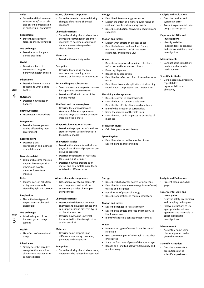| Step<br>4 | Cells:<br>• State that diffusion moves<br>substances in/out of cells<br>and describe organisation<br>of multicellular organisms<br><b>Respiration:</b><br>• State that respiration<br>releases energy from food<br>Gas exchange:<br>• Describe what happens<br>during breathing<br>Health:<br>• Describe effects of<br>recreational drugs on<br>behaviour, health and life<br>Inheritance:<br>• Describe how variation is<br>caused and what a gene<br>bank is<br><b>Nutrition:</b><br>• Describe how digestion<br>happens<br>Photosynthesis:<br>• List reactants & products<br>Ecosystems:<br>• Describe how organisms<br>can be affected by their<br>environment<br><b>Reproduction:</b><br>• Describe plant<br>reproduction and methods<br>of seed dispersal<br>Musculoskeletal:<br>• Explain why some muscles | Atoms, elements compounds:<br>State that mass is conserved during<br>$\bullet$<br>changes of state and chemical<br>reactions<br><b>Chemical reactions:</b><br>State that during chemical reactions<br>$\bullet$<br>atoms are rearranged in order for<br>reactants to become products and<br>name some ways to speed up<br>chemical reactions<br><b>Materials:</b><br>Describe the reactivity series<br><b>Energetics:</b><br>• Describe that during chemical<br>reactions, surroundings may<br>increase or decrease in temperature<br>Pure and impure substances:<br>Select appropriate simple techniques<br>$\bullet$<br>for separating given mixtures<br>Describe diffusion in terms of the<br>particle model<br>The Earth and the atmosphere:<br>Describe the composition and<br>$\bullet$<br>structure of the atmosphere and<br>describe ways that human activities<br>impact on the climate<br>The particulate nature of matter:<br>Describe the properties of the three<br>$\bullet$<br>states of matter with reference to<br>the particle model<br><b>The Periodic Table:</b><br>• Describe that elements with similar<br>physical and chemical properties are<br>grouped together<br>Describe the patterns of reactivity<br>$\bullet$<br>for Group 1 and Group 7 | Energy:<br>Describe different energy resources<br>$\bullet$<br>Explain the effect of a higher power rating on<br>cost, and how to reduce energy waste<br>Describe conduction, convection, radiation and<br>expansion<br><b>Motion and forces:</b><br>Explain what affects an object's speed<br>Describe balanced and resultant forces,<br>moments, the effects of air and water<br>resistance, and Hooke's Law<br>Waves:<br>Describe absorption, dispersion, reflection,<br>refraction and how we see colours<br>Draw ray diagrams<br>$\bullet$<br>Recognise superposition<br>Describe the reflection of an observed wave in<br>water<br>Describe echoes and applications of absorbing<br>sound. Label compressions and rarefactions<br><b>Electricity and magnetism:</b><br>Describe current in parallel circuits<br>Describe how to connect a voltmeter<br>Describe the effects of increased resistance<br>Identify the direction of current flow<br>Show the direction of the field lines<br>$\bullet$<br>Describe Earth and compasses as examples of<br>$\bullet$<br>magnets<br><b>Pressure In Fluids:</b><br>• Calculate pressure and density<br><b>Space Physics:</b><br>Describe celestial bodies in order of size.<br>Describe and calculate weight | <b>Analysis and Evaluation:</b><br>Describe random and<br>systematic error<br>Present experimental data<br>$\bullet$<br>using a scatter graph<br><b>Experimental Skills and</b><br>Investigation:<br>Identify variables<br>$\bullet$<br>(independent, dependent<br>and control variables) in an<br>investigation<br><b>Measurement:</b><br>• Conduct basic calculations<br>on data such as mode,<br>median, mean<br><b>Scientific Attitudes:</b><br>Define accuracy, precision,<br>$\bullet$<br>repeatability,<br>reproducibility and<br>objectivity |
|-----------|-------------------------------------------------------------------------------------------------------------------------------------------------------------------------------------------------------------------------------------------------------------------------------------------------------------------------------------------------------------------------------------------------------------------------------------------------------------------------------------------------------------------------------------------------------------------------------------------------------------------------------------------------------------------------------------------------------------------------------------------------------------------------------------------------------------------|--------------------------------------------------------------------------------------------------------------------------------------------------------------------------------------------------------------------------------------------------------------------------------------------------------------------------------------------------------------------------------------------------------------------------------------------------------------------------------------------------------------------------------------------------------------------------------------------------------------------------------------------------------------------------------------------------------------------------------------------------------------------------------------------------------------------------------------------------------------------------------------------------------------------------------------------------------------------------------------------------------------------------------------------------------------------------------------------------------------------------------------------------------------------------------------------------------------------------------------------------------------------------|-------------------------------------------------------------------------------------------------------------------------------------------------------------------------------------------------------------------------------------------------------------------------------------------------------------------------------------------------------------------------------------------------------------------------------------------------------------------------------------------------------------------------------------------------------------------------------------------------------------------------------------------------------------------------------------------------------------------------------------------------------------------------------------------------------------------------------------------------------------------------------------------------------------------------------------------------------------------------------------------------------------------------------------------------------------------------------------------------------------------------------------------------------------------------------------------------------------------------------------------------------------|------------------------------------------------------------------------------------------------------------------------------------------------------------------------------------------------------------------------------------------------------------------------------------------------------------------------------------------------------------------------------------------------------------------------------------------------------------------------------------------------------------------------------------------------------|
|           | need to be stronger than<br>others, and how to<br>measure forces from<br>muscles                                                                                                                                                                                                                                                                                                                                                                                                                                                                                                                                                                                                                                                                                                                                  | • Describe how the properties of<br>metals and non-metals make them<br>suitable for different uses                                                                                                                                                                                                                                                                                                                                                                                                                                                                                                                                                                                                                                                                                                                                                                                                                                                                                                                                                                                                                                                                                                                                                                       |                                                                                                                                                                                                                                                                                                                                                                                                                                                                                                                                                                                                                                                                                                                                                                                                                                                                                                                                                                                                                                                                                                                                                                                                                                                             |                                                                                                                                                                                                                                                                                                                                                                                                                                                                                                                                                      |
|           | Cells:                                                                                                                                                                                                                                                                                                                                                                                                                                                                                                                                                                                                                                                                                                                                                                                                            | Atoms, elements compounds:                                                                                                                                                                                                                                                                                                                                                                                                                                                                                                                                                                                                                                                                                                                                                                                                                                                                                                                                                                                                                                                                                                                                                                                                                                               | Energy:                                                                                                                                                                                                                                                                                                                                                                                                                                                                                                                                                                                                                                                                                                                                                                                                                                                                                                                                                                                                                                                                                                                                                                                                                                                     | <b>Analysis and Evaluation:</b>                                                                                                                                                                                                                                                                                                                                                                                                                                                                                                                      |
|           | • Identify parts of cells from<br>a diagram; draw cells<br>viewed by light microscope                                                                                                                                                                                                                                                                                                                                                                                                                                                                                                                                                                                                                                                                                                                             | • List examples of atoms, elements<br>and compounds and label the<br>subatomic particles of a simple<br>atomic model                                                                                                                                                                                                                                                                                                                                                                                                                                                                                                                                                                                                                                                                                                                                                                                                                                                                                                                                                                                                                                                                                                                                                     | Describe what a higher power rating means<br>Describe situations where energy is transferred,<br>wasted and dissipated<br>Recall forms of potential energy                                                                                                                                                                                                                                                                                                                                                                                                                                                                                                                                                                                                                                                                                                                                                                                                                                                                                                                                                                                                                                                                                                  | Present data using a bar<br>graph<br><b>Experimental Skills and</b>                                                                                                                                                                                                                                                                                                                                                                                                                                                                                  |
|           | <b>Respiration:</b>                                                                                                                                                                                                                                                                                                                                                                                                                                                                                                                                                                                                                                                                                                                                                                                               |                                                                                                                                                                                                                                                                                                                                                                                                                                                                                                                                                                                                                                                                                                                                                                                                                                                                                                                                                                                                                                                                                                                                                                                                                                                                          | Describe applications of thermal insulators                                                                                                                                                                                                                                                                                                                                                                                                                                                                                                                                                                                                                                                                                                                                                                                                                                                                                                                                                                                                                                                                                                                                                                                                                 | Investigation:                                                                                                                                                                                                                                                                                                                                                                                                                                                                                                                                       |
|           | • Name the two types of                                                                                                                                                                                                                                                                                                                                                                                                                                                                                                                                                                                                                                                                                                                                                                                           | <b>Chemical reactions:</b>                                                                                                                                                                                                                                                                                                                                                                                                                                                                                                                                                                                                                                                                                                                                                                                                                                                                                                                                                                                                                                                                                                                                                                                                                                               |                                                                                                                                                                                                                                                                                                                                                                                                                                                                                                                                                                                                                                                                                                                                                                                                                                                                                                                                                                                                                                                                                                                                                                                                                                                             | Describe safety precautions<br>$\bullet$                                                                                                                                                                                                                                                                                                                                                                                                                                                                                                             |
|           | respiration (aerobic and                                                                                                                                                                                                                                                                                                                                                                                                                                                                                                                                                                                                                                                                                                                                                                                          | Describe the difference between<br>$\bullet$                                                                                                                                                                                                                                                                                                                                                                                                                                                                                                                                                                                                                                                                                                                                                                                                                                                                                                                                                                                                                                                                                                                                                                                                                             | <b>Motion and forces:</b>                                                                                                                                                                                                                                                                                                                                                                                                                                                                                                                                                                                                                                                                                                                                                                                                                                                                                                                                                                                                                                                                                                                                                                                                                                   | and sampling techniques                                                                                                                                                                                                                                                                                                                                                                                                                                                                                                                              |
|           | anaerobic)                                                                                                                                                                                                                                                                                                                                                                                                                                                                                                                                                                                                                                                                                                                                                                                                        | chemical and physical changes and<br>can simply describe different types                                                                                                                                                                                                                                                                                                                                                                                                                                                                                                                                                                                                                                                                                                                                                                                                                                                                                                                                                                                                                                                                                                                                                                                                 | Describe changes in relative motion<br>$\bullet$                                                                                                                                                                                                                                                                                                                                                                                                                                                                                                                                                                                                                                                                                                                                                                                                                                                                                                                                                                                                                                                                                                                                                                                                            | Follow instructions to use                                                                                                                                                                                                                                                                                                                                                                                                                                                                                                                           |
|           | Gas exchange:                                                                                                                                                                                                                                                                                                                                                                                                                                                                                                                                                                                                                                                                                                                                                                                                     | of chemical reaction                                                                                                                                                                                                                                                                                                                                                                                                                                                                                                                                                                                                                                                                                                                                                                                                                                                                                                                                                                                                                                                                                                                                                                                                                                                     | Describe the effects of forces and friction. $\square$                                                                                                                                                                                                                                                                                                                                                                                                                                                                                                                                                                                                                                                                                                                                                                                                                                                                                                                                                                                                                                                                                                                                                                                                      | appropriate techniques,<br>apparatus and materials to                                                                                                                                                                                                                                                                                                                                                                                                                                                                                                |
| Step      | • Label a diagram of the                                                                                                                                                                                                                                                                                                                                                                                                                                                                                                                                                                                                                                                                                                                                                                                          | Describe how to use Universal                                                                                                                                                                                                                                                                                                                                                                                                                                                                                                                                                                                                                                                                                                                                                                                                                                                                                                                                                                                                                                                                                                                                                                                                                                            | Use force arrow                                                                                                                                                                                                                                                                                                                                                                                                                                                                                                                                                                                                                                                                                                                                                                                                                                                                                                                                                                                                                                                                                                                                                                                                                                             | conduct scientific                                                                                                                                                                                                                                                                                                                                                                                                                                                                                                                                   |
|           |                                                                                                                                                                                                                                                                                                                                                                                                                                                                                                                                                                                                                                                                                                                                                                                                                   | indicator to find the strongth of a                                                                                                                                                                                                                                                                                                                                                                                                                                                                                                                                                                                                                                                                                                                                                                                                                                                                                                                                                                                                                                                                                                                                                                                                                                      | Identify if a force is contact or non-contact                                                                                                                                                                                                                                                                                                                                                                                                                                                                                                                                                                                                                                                                                                                                                                                                                                                                                                                                                                                                                                                                                                                                                                                                               | $\mathbf{R}$                                                                                                                                                                                                                                                                                                                                                                                                                                                                                                                                         |



humans' gas exchange system

#### **Health:**

• List effects of recreational drugs

#### **Inheritance:**

• Simply describe heredity; recognise that variation allows some individuals to compete better

indicator to find the strength of an acid or an alkali

#### **Materials:**

• Describe some properties of different materials eg: ceramics, polymers and composites

**Energetics:** 

• State that during chemical reactions, energy may be released or absorbed

#### **Waves:**

- Name some types of waves. State the law of reflection
- Give some examples of when light is absorbed or reflected
- State the functions of parts of the human eye
- Recognise a longitudinal wave, frequency and auditory range

#### investigations

#### **Measurement:**

• Accurately name some chemical products when given the reactants

#### **Scientific Attitudes:**

• Describe some safety precautions during scientific experiments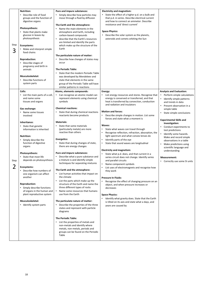| Step<br>3 | <b>Nutrition:</b><br>Describe role of food<br>$\bullet$<br>groups and the function of<br>digestive organs<br>Photosynthesis:<br>State that plants make<br>glucose in leaves by<br>photosynthesis<br>Ecosystems:<br>Make and interpret simple<br>$\bullet$<br>food chains<br><b>Reproduction:</b><br>Describe stages of<br>pregnancy and birth in<br>animals<br><b>Musculoskeletal:</b><br>Describe functions of<br>system parts                                                                                                                                                                                                      | Pure and impure substances:<br>Simply describe how particles may<br>$\bullet$<br>move through a fluid by diffusion<br>The Earth and the atmosphere:<br>Name the main elements in the<br>$\bullet$<br>atmosphere and Earth, including<br>carbon-based compounds<br>describe that the Earth's resources<br>$\bullet$<br>are limited and identify the parts<br>which make up the structure of the<br>Earth<br>The particulate nature of matter:<br>Describe how changes of states may<br>occur<br><b>The Periodic Table:</b><br>State that the modern Periodic Table<br>$\bullet$<br>was developed by Mendeleev and<br>state that elements in the same<br>group of the Periodic Table will have                                                                                                                                                                                                                                                                                                                                                                                                                                                                                                                                             | <b>Electricity and magnetism:</b><br>State the effect of a higher p.d. on a bulb and<br>that p.d. in series. Describe electrical current<br>and how to connect an ammeter. Describe<br>resistance and 'direct current'<br><b>Space Physics:</b><br>Describe the solar system as the planets,<br>asteroids and comets orbiting the Sun                                                                                                                                                                                                                                                                                                                                                                                                                                                                                                                                                                                                                                                                                                                                                                         |                                                                                                                                                                                                                                                                                                                                                                                                                                                                                                                      |
|-----------|--------------------------------------------------------------------------------------------------------------------------------------------------------------------------------------------------------------------------------------------------------------------------------------------------------------------------------------------------------------------------------------------------------------------------------------------------------------------------------------------------------------------------------------------------------------------------------------------------------------------------------------|------------------------------------------------------------------------------------------------------------------------------------------------------------------------------------------------------------------------------------------------------------------------------------------------------------------------------------------------------------------------------------------------------------------------------------------------------------------------------------------------------------------------------------------------------------------------------------------------------------------------------------------------------------------------------------------------------------------------------------------------------------------------------------------------------------------------------------------------------------------------------------------------------------------------------------------------------------------------------------------------------------------------------------------------------------------------------------------------------------------------------------------------------------------------------------------------------------------------------------------|---------------------------------------------------------------------------------------------------------------------------------------------------------------------------------------------------------------------------------------------------------------------------------------------------------------------------------------------------------------------------------------------------------------------------------------------------------------------------------------------------------------------------------------------------------------------------------------------------------------------------------------------------------------------------------------------------------------------------------------------------------------------------------------------------------------------------------------------------------------------------------------------------------------------------------------------------------------------------------------------------------------------------------------------------------------------------------------------------------------|----------------------------------------------------------------------------------------------------------------------------------------------------------------------------------------------------------------------------------------------------------------------------------------------------------------------------------------------------------------------------------------------------------------------------------------------------------------------------------------------------------------------|
| Step<br>2 | Cells:<br>List the main parts of a cell,<br>and name some<br>tissues and organs<br><b>Gas exchange:</b><br>Name some tissues<br>involved<br>Inheritance:<br>• State that genetic<br>information is inherited<br><b>Nutrition:</b><br>Simply describe the<br>function of digestive<br>organs<br>Photosynthesis:<br>State that most life<br>$\bullet$<br>depends on photosynthesis<br>Ecosystems:<br>Describe how numbers of<br>one organism can affect<br>another<br><b>Reproduction:</b><br>Simply describe functions<br>of organs in the human and<br>plant reproductive system<br><b>Musculoskeletal:</b><br>Identify system parts | similar patterns in reactions<br>Atoms, elements compounds:<br>Can recognise an atomic model can<br>represent elements using chemical<br>symbols<br><b>Chemical reactions:</b><br>State that during chemical reactions<br>reactants become products<br><b>Materials:</b><br>State that some materials<br>$\bullet$<br>(particularly metals) are more<br>reactive than others<br><b>Energetics:</b><br>State that during changes of state,<br>$\bullet$<br>there are energy changes<br>Pure and impure substances:<br>Describe what a pure substance and<br>$\bullet$<br>a mixture is and identify simple<br>techniques for separating mixtures<br>The Earth and the atmosphere:<br>• List human activities that impact on<br>the climate<br>List the parts which make up the<br>structure of the Earth and name the<br>three different types of rocks<br>Name some resources that humans<br>use from the Earth<br>The particulate nature of matter:<br>• Describe the properties of the three<br>states and represent with particle<br>diagrams<br><b>The Periodic Table:</b><br>• List the properties of metals and<br>non-metals and identify where<br>metals, non-metals, periods and<br>groups can be found on the Periodic<br>Table | Energy:<br>List energy resources and stores. Recognise that<br>energy is conserved or transferred, and that<br>heat is transferred by convection, conduction<br>and radiation and insulators<br><b>Motion and forces:</b><br>Describe simple changes in motion. List some<br>forces and state what a moment is<br>Waves:<br>State what waves can travel through<br>Recognise reflection, refraction, absorption, the<br>light spectrum and what convex lenses do<br>Identify parts of the eye<br>State that sound waves are longitudinal<br>$\bullet$<br><b>Electricity and magnetism:</b><br>State what p.d. does, and that current in a<br>series circuit does not change. Identify series<br>and parallel circuits<br>Name component symbols<br>List uses of electromagnets and recognise how<br>they work<br><b>Pressure In Fluids:</b><br>Recognise the effect of changing pressure on an<br>object, and when pressure increases or<br>decreases<br><b>Space Physics:</b><br>Identify what gravity does. State that the Earth<br>is tilted on its axis and state what a days, and<br>years are caused by | <b>Analysis and Evaluation:</b><br>Perform simple calculations<br>Identify simple patterns<br>and trends in data<br>Present observation in a<br>$\bullet$<br>simple table<br>State simple conclusions<br><b>Experimental Skills and</b><br>Investigation:<br>Conduct experiments to<br>test predictions<br>Identify some hazards.<br>Make and record simple<br>observations in a table<br>Make predictions using<br>scientific language and<br>understanding<br><b>Measurement:</b><br>• Correctly use some SI units |